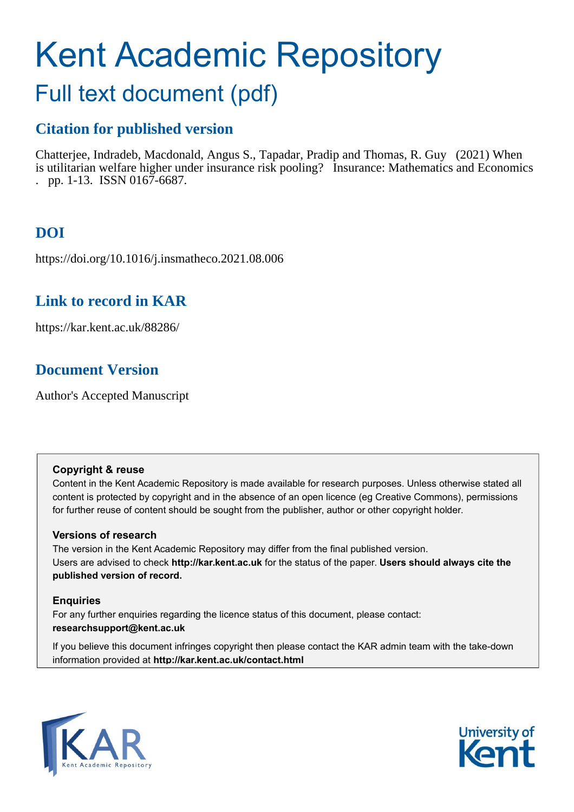# Kent Academic Repository

## Full text document (pdf)

## **Citation for published version**

Chatterjee, Indradeb, Macdonald, Angus S., Tapadar, Pradip and Thomas, R. Guy (2021) When is utilitarian welfare higher under insurance risk pooling? Insurance: Mathematics and Economics . pp. 1-13. ISSN 0167-6687.

## **DOI**

https://doi.org/10.1016/j.insmatheco.2021.08.006

### **Link to record in KAR**

https://kar.kent.ac.uk/88286/

## **Document Version**

Author's Accepted Manuscript

#### **Copyright & reuse**

Content in the Kent Academic Repository is made available for research purposes. Unless otherwise stated all content is protected by copyright and in the absence of an open licence (eg Creative Commons), permissions for further reuse of content should be sought from the publisher, author or other copyright holder.

#### **Versions of research**

The version in the Kent Academic Repository may differ from the final published version. Users are advised to check **http://kar.kent.ac.uk** for the status of the paper. **Users should always cite the published version of record.**

#### **Enquiries**

For any further enquiries regarding the licence status of this document, please contact: **researchsupport@kent.ac.uk**

If you believe this document infringes copyright then please contact the KAR admin team with the take-down information provided at **http://kar.kent.ac.uk/contact.html**



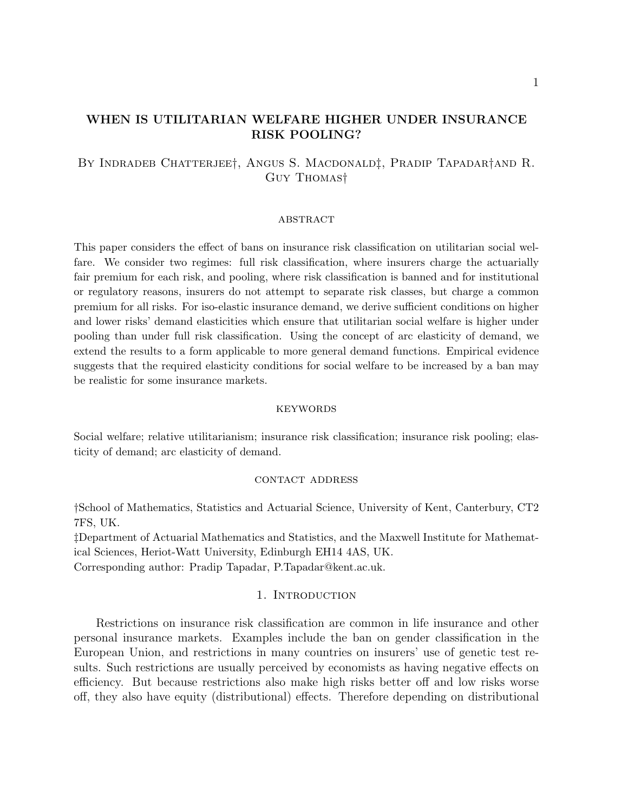#### WHEN IS UTILITARIAN WELFARE HIGHER UNDER INSURANCE RISK POOLING?

#### By Indradeb Chatterjee†, Angus S. Macdonald‡, Pradip Tapadar†and R. Guy Thomas†

#### **ABSTRACT**

This paper considers the effect of bans on insurance risk classification on utilitarian social welfare. We consider two regimes: full risk classification, where insurers charge the actuarially fair premium for each risk, and pooling, where risk classification is banned and for institutional or regulatory reasons, insurers do not attempt to separate risk classes, but charge a common premium for all risks. For iso-elastic insurance demand, we derive sufficient conditions on higher and lower risks' demand elasticities which ensure that utilitarian social welfare is higher under pooling than under full risk classification. Using the concept of arc elasticity of demand, we extend the results to a form applicable to more general demand functions. Empirical evidence suggests that the required elasticity conditions for social welfare to be increased by a ban may be realistic for some insurance markets.

#### **KEYWORDS**

Social welfare; relative utilitarianism; insurance risk classification; insurance risk pooling; elasticity of demand; arc elasticity of demand.

#### contact address

†School of Mathematics, Statistics and Actuarial Science, University of Kent, Canterbury, CT2 7FS, UK.

‡Department of Actuarial Mathematics and Statistics, and the Maxwell Institute for Mathematical Sciences, Heriot-Watt University, Edinburgh EH14 4AS, UK.

Corresponding author: Pradip Tapadar, P.Tapadar@kent.ac.uk.

#### 1. INTRODUCTION

Restrictions on insurance risk classification are common in life insurance and other personal insurance markets. Examples include the ban on gender classification in the European Union, and restrictions in many countries on insurers' use of genetic test results. Such restrictions are usually perceived by economists as having negative effects on efficiency. But because restrictions also make high risks better off and low risks worse off, they also have equity (distributional) effects. Therefore depending on distributional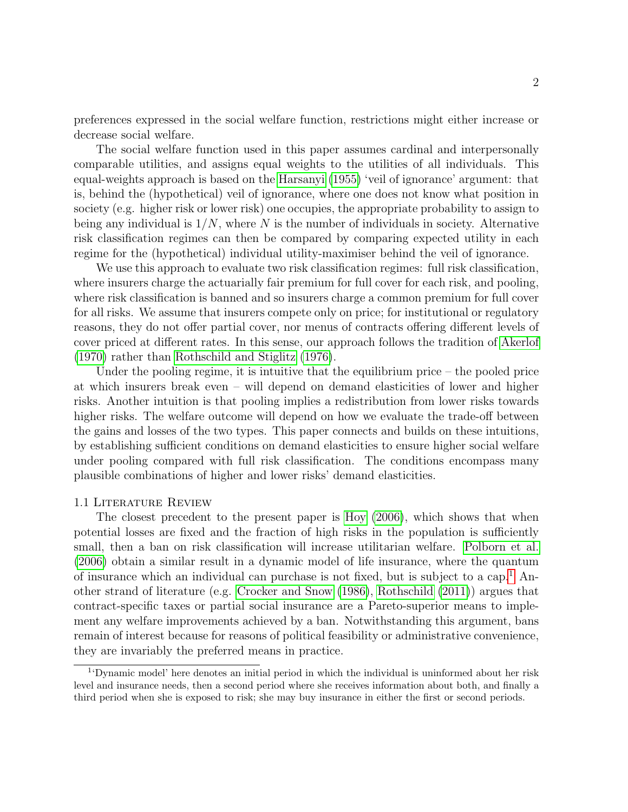preferences expressed in the social welfare function, restrictions might either increase or decrease social welfare.

The social welfare function used in this paper assumes cardinal and interpersonally comparable utilities, and assigns equal weights to the utilities of all individuals. This equal-weights approach is based on the Harsanyi (1955) 'veil of ignorance' argument: that is, behind the (hypothetical) veil of ignorance, where one does not know what position in society (e.g. higher risk or lower risk) one occupies, the appropriate probability to assign to being any individual is  $1/N$ , where N is the number of individuals in society. Alternative risk classification regimes can then be compared by comparing expected utility in each regime for the (hypothetical) individual utility-maximiser behind the veil of ignorance.

We use this approach to evaluate two risk classification regimes: full risk classification, where insurers charge the actuarially fair premium for full cover for each risk, and pooling, where risk classification is banned and so insurers charge a common premium for full cover for all risks. We assume that insurers compete only on price; for institutional or regulatory reasons, they do not offer partial cover, nor menus of contracts offering different levels of cover priced at different rates. In this sense, our approach follows the tradition of Akerlof (1970) rather than Rothschild and Stiglitz (1976).

Under the pooling regime, it is intuitive that the equilibrium price – the pooled price at which insurers break even – will depend on demand elasticities of lower and higher risks. Another intuition is that pooling implies a redistribution from lower risks towards higher risks. The welfare outcome will depend on how we evaluate the trade-off between the gains and losses of the two types. This paper connects and builds on these intuitions, by establishing sufficient conditions on demand elasticities to ensure higher social welfare under pooling compared with full risk classification. The conditions encompass many plausible combinations of higher and lower risks' demand elasticities.

#### 1.1 Literature Review

The closest precedent to the present paper is Hoy (2006), which shows that when potential losses are fixed and the fraction of high risks in the population is sufficiently small, then a ban on risk classification will increase utilitarian welfare. Polborn et al. (2006) obtain a similar result in a dynamic model of life insurance, where the quantum of insurance which an individual can purchase is not fixed, but is subject to a cap.<sup>1</sup> Another strand of literature (e.g. Crocker and Snow (1986), Rothschild (2011)) argues that contract-specific taxes or partial social insurance are a Pareto-superior means to implement any welfare improvements achieved by a ban. Notwithstanding this argument, bans remain of interest because for reasons of political feasibility or administrative convenience, they are invariably the preferred means in practice.

<sup>&</sup>lt;sup>1</sup>'Dynamic model' here denotes an initial period in which the individual is uninformed about her risk level and insurance needs, then a second period where she receives information about both, and finally a third period when she is exposed to risk; she may buy insurance in either the first or second periods.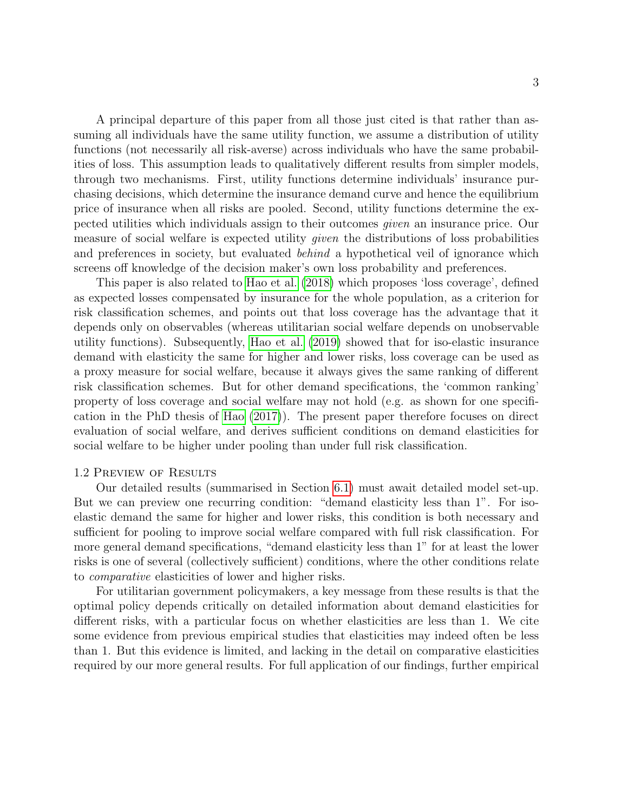A principal departure of this paper from all those just cited is that rather than assuming all individuals have the same utility function, we assume a distribution of utility functions (not necessarily all risk-averse) across individuals who have the same probabilities of loss. This assumption leads to qualitatively different results from simpler models, through two mechanisms. First, utility functions determine individuals' insurance purchasing decisions, which determine the insurance demand curve and hence the equilibrium price of insurance when all risks are pooled. Second, utility functions determine the expected utilities which individuals assign to their outcomes given an insurance price. Our measure of social welfare is expected utility given the distributions of loss probabilities and preferences in society, but evaluated *behind* a hypothetical veil of ignorance which screens off knowledge of the decision maker's own loss probability and preferences.

This paper is also related to Hao et al. (2018) which proposes 'loss coverage', defined as expected losses compensated by insurance for the whole population, as a criterion for risk classification schemes, and points out that loss coverage has the advantage that it depends only on observables (whereas utilitarian social welfare depends on unobservable utility functions). Subsequently, Hao et al. (2019) showed that for iso-elastic insurance demand with elasticity the same for higher and lower risks, loss coverage can be used as a proxy measure for social welfare, because it always gives the same ranking of different risk classification schemes. But for other demand specifications, the 'common ranking' property of loss coverage and social welfare may not hold (e.g. as shown for one specification in the PhD thesis of Hao (2017)). The present paper therefore focuses on direct evaluation of social welfare, and derives sufficient conditions on demand elasticities for social welfare to be higher under pooling than under full risk classification.

#### 1.2 Preview of Results

Our detailed results (summarised in Section 6.1) must await detailed model set-up. But we can preview one recurring condition: "demand elasticity less than 1". For isoelastic demand the same for higher and lower risks, this condition is both necessary and sufficient for pooling to improve social welfare compared with full risk classification. For more general demand specifications, "demand elasticity less than 1" for at least the lower risks is one of several (collectively sufficient) conditions, where the other conditions relate to comparative elasticities of lower and higher risks.

For utilitarian government policymakers, a key message from these results is that the optimal policy depends critically on detailed information about demand elasticities for different risks, with a particular focus on whether elasticities are less than 1. We cite some evidence from previous empirical studies that elasticities may indeed often be less than 1. But this evidence is limited, and lacking in the detail on comparative elasticities required by our more general results. For full application of our findings, further empirical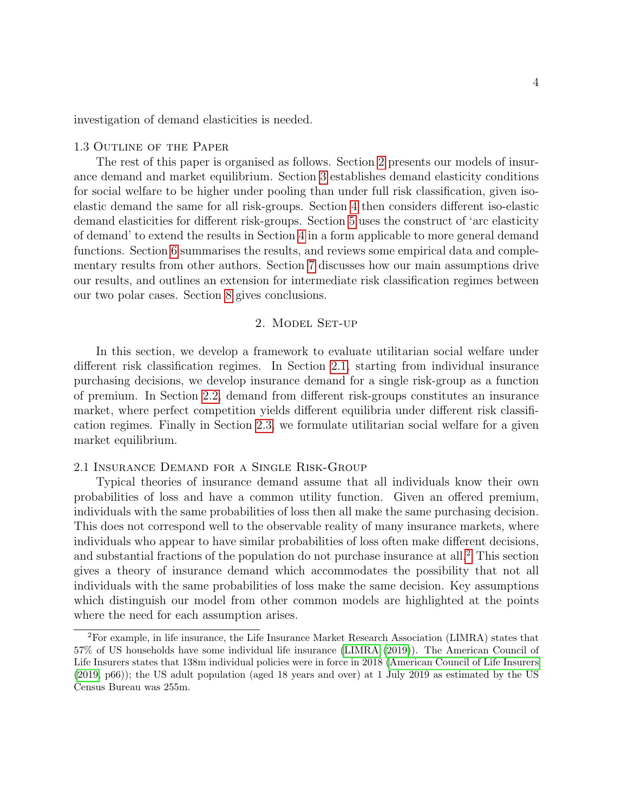investigation of demand elasticities is needed.

#### 1.3 Outline of the Paper

The rest of this paper is organised as follows. Section 2 presents our models of insurance demand and market equilibrium. Section 3 establishes demand elasticity conditions for social welfare to be higher under pooling than under full risk classification, given isoelastic demand the same for all risk-groups. Section 4 then considers different iso-elastic demand elasticities for different risk-groups. Section 5 uses the construct of 'arc elasticity of demand' to extend the results in Section 4 in a form applicable to more general demand functions. Section 6 summarises the results, and reviews some empirical data and complementary results from other authors. Section 7 discusses how our main assumptions drive our results, and outlines an extension for intermediate risk classification regimes between our two polar cases. Section 8 gives conclusions.

#### 2. Model Set-up

In this section, we develop a framework to evaluate utilitarian social welfare under different risk classification regimes. In Section 2.1, starting from individual insurance purchasing decisions, we develop insurance demand for a single risk-group as a function of premium. In Section 2.2, demand from different risk-groups constitutes an insurance market, where perfect competition yields different equilibria under different risk classification regimes. Finally in Section 2.3, we formulate utilitarian social welfare for a given market equilibrium.

#### 2.1 Insurance Demand for a Single Risk-Group

Typical theories of insurance demand assume that all individuals know their own probabilities of loss and have a common utility function. Given an offered premium, individuals with the same probabilities of loss then all make the same purchasing decision. This does not correspond well to the observable reality of many insurance markets, where individuals who appear to have similar probabilities of loss often make different decisions, and substantial fractions of the population do not purchase insurance at all.2 This section gives a theory of insurance demand which accommodates the possibility that not all individuals with the same probabilities of loss make the same decision. Key assumptions which distinguish our model from other common models are highlighted at the points where the need for each assumption arises.

<sup>2</sup>For example, in life insurance, the Life Insurance Market Research Association (LIMRA) states that 57% of US households have some individual life insurance (LIMRA (2019)). The American Council of Life Insurers states that 138m individual policies were in force in 2018 (American Council of Life Insurers (2019, p66)); the US adult population (aged 18 years and over) at 1 July 2019 as estimated by the US Census Bureau was 255m.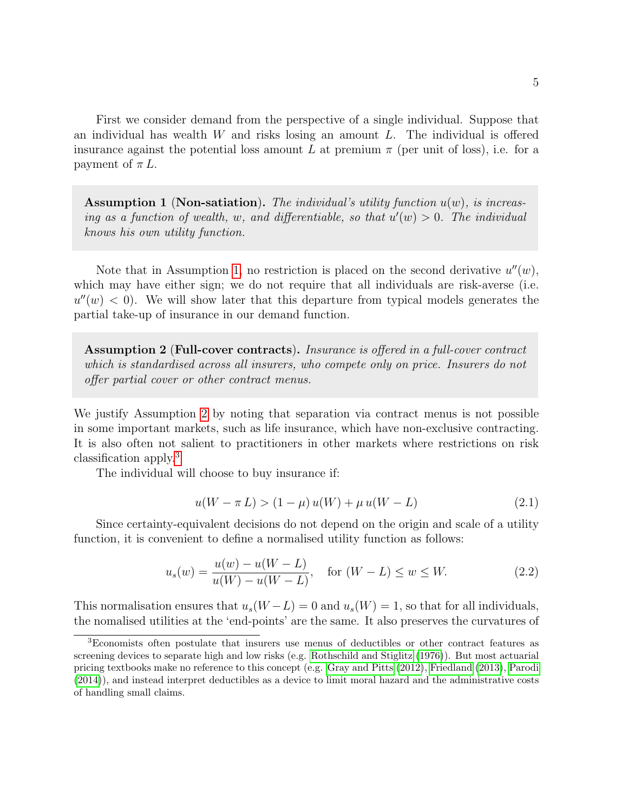First we consider demand from the perspective of a single individual. Suppose that an individual has wealth  $W$  and risks losing an amount  $L$ . The individual is offered insurance against the potential loss amount L at premium  $\pi$  (per unit of loss), i.e. for a payment of  $\pi L$ .

Assumption 1 (Non-satiation). The individual's utility function  $u(w)$ , is increasing as a function of wealth, w, and differentiable, so that  $u'(w) > 0$ . The individual knows his own utility function.

Note that in Assumption 1, no restriction is placed on the second derivative  $u''(w)$ , which may have either sign; we do not require that all individuals are risk-averse (i.e.  $u''(w) < 0$ ). We will show later that this departure from typical models generates the partial take-up of insurance in our demand function.

Assumption 2 (Full-cover contracts). Insurance is offered in a full-cover contract which is standardised across all insurers, who compete only on price. Insurers do not offer partial cover or other contract menus.

We justify Assumption 2 by noting that separation via contract menus is not possible in some important markets, such as life insurance, which have non-exclusive contracting. It is also often not salient to practitioners in other markets where restrictions on risk classification apply.3

The individual will choose to buy insurance if:

$$
u(W - \pi L) > (1 - \mu) u(W) + \mu u(W - L)
$$
\n(2.1)

Since certainty-equivalent decisions do not depend on the origin and scale of a utility function, it is convenient to define a normalised utility function as follows:

$$
u_s(w) = \frac{u(w) - u(W - L)}{u(W) - u(W - L)}, \quad \text{for } (W - L) \le w \le W. \tag{2.2}
$$

This normalisation ensures that  $u_s(W - L) = 0$  and  $u_s(W) = 1$ , so that for all individuals, the nomalised utilities at the 'end-points' are the same. It also preserves the curvatures of

<sup>3</sup>Economists often postulate that insurers use menus of deductibles or other contract features as screening devices to separate high and low risks (e.g. Rothschild and Stiglitz (1976)). But most actuarial pricing textbooks make no reference to this concept (e.g. Gray and Pitts (2012), Friedland (2013), Parodi (2014)), and instead interpret deductibles as a device to limit moral hazard and the administrative costs of handling small claims.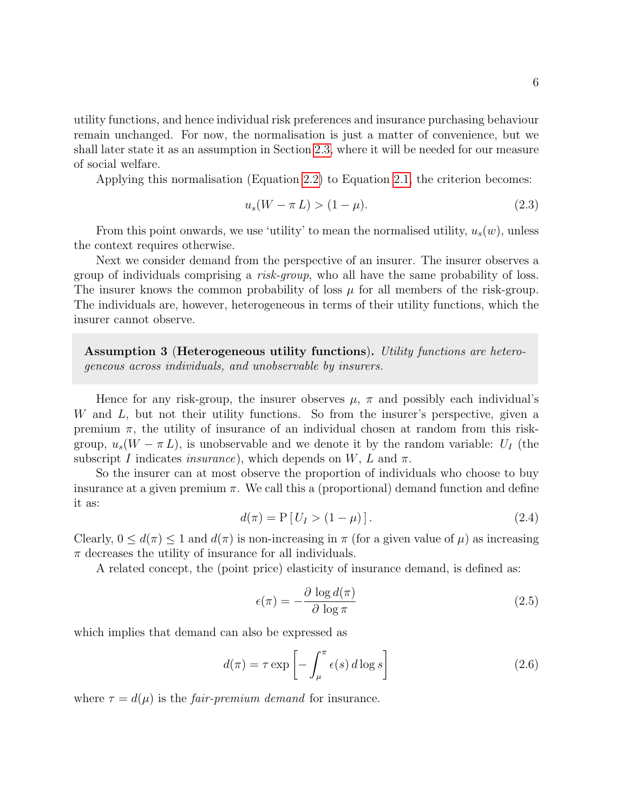utility functions, and hence individual risk preferences and insurance purchasing behaviour remain unchanged. For now, the normalisation is just a matter of convenience, but we shall later state it as an assumption in Section 2.3, where it will be needed for our measure of social welfare.

Applying this normalisation (Equation 2.2) to Equation 2.1, the criterion becomes:

$$
u_s(W - \pi L) > (1 - \mu). \tag{2.3}
$$

From this point onwards, we use 'utility' to mean the normalised utility,  $u_s(w)$ , unless the context requires otherwise.

Next we consider demand from the perspective of an insurer. The insurer observes a group of individuals comprising a risk-group, who all have the same probability of loss. The insurer knows the common probability of loss  $\mu$  for all members of the risk-group. The individuals are, however, heterogeneous in terms of their utility functions, which the insurer cannot observe.

Assumption 3 (Heterogeneous utility functions). Utility functions are heterogeneous across individuals, and unobservable by insurers.

Hence for any risk-group, the insurer observes  $\mu$ ,  $\pi$  and possibly each individual's W and L, but not their utility functions. So from the insurer's perspective, given a premium  $\pi$ , the utility of insurance of an individual chosen at random from this riskgroup,  $u_s(W - \pi L)$ , is unobservable and we denote it by the random variable:  $U_I$  (the subscript I indicates insurance), which depends on W, L and  $\pi$ .

So the insurer can at most observe the proportion of individuals who choose to buy insurance at a given premium  $\pi$ . We call this a (proportional) demand function and define it as:

$$
d(\pi) = P[U_I > (1 - \mu)].
$$
\n(2.4)

Clearly,  $0 \leq d(\pi) \leq 1$  and  $d(\pi)$  is non-increasing in  $\pi$  (for a given value of  $\mu$ ) as increasing  $\pi$  decreases the utility of insurance for all individuals.

A related concept, the (point price) elasticity of insurance demand, is defined as:

$$
\epsilon(\pi) = -\frac{\partial \log d(\pi)}{\partial \log \pi} \tag{2.5}
$$

which implies that demand can also be expressed as

$$
d(\pi) = \tau \exp\left[-\int_{\mu}^{\pi} \epsilon(s) d\log s\right]
$$
 (2.6)

where  $\tau = d(\mu)$  is the *fair-premium demand* for insurance.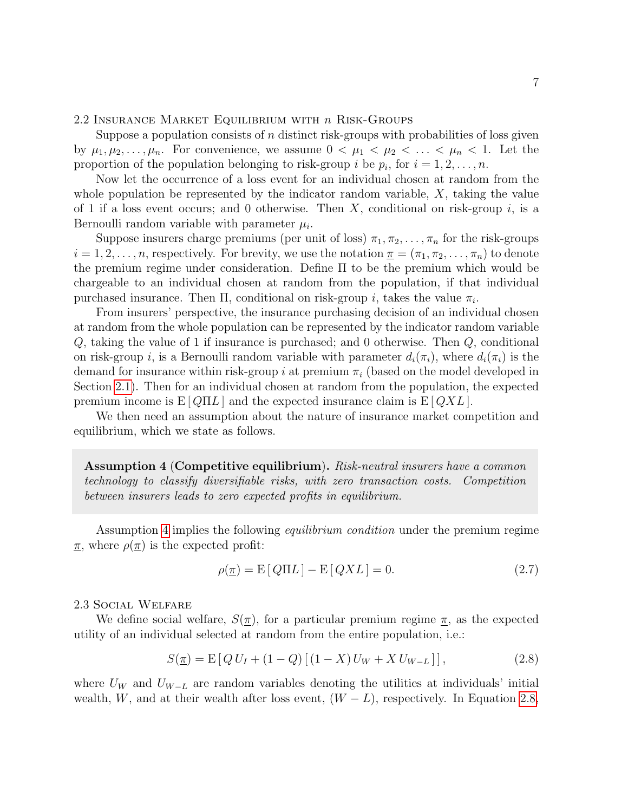2.2 INSURANCE MARKET EQUILIBRIUM WITH  $n$  RISK-GROUPS

Suppose a population consists of  $n$  distinct risk-groups with probabilities of loss given by  $\mu_1, \mu_2, \ldots, \mu_n$ . For convenience, we assume  $0 < \mu_1 < \mu_2 < \ldots < \mu_n < 1$ . Let the proportion of the population belonging to risk-group *i* be  $p_i$ , for  $i = 1, 2, ..., n$ .

Now let the occurrence of a loss event for an individual chosen at random from the whole population be represented by the indicator random variable,  $X$ , taking the value of 1 if a loss event occurs; and 0 otherwise. Then X, conditional on risk-group i, is a Bernoulli random variable with parameter  $\mu_i$ .

Suppose insurers charge premiums (per unit of loss)  $\pi_1, \pi_2, \ldots, \pi_n$  for the risk-groups  $i = 1, 2, \ldots, n$ , respectively. For brevity, we use the notation  $\underline{\pi} = (\pi_1, \pi_2, \ldots, \pi_n)$  to denote the premium regime under consideration. Define Π to be the premium which would be chargeable to an individual chosen at random from the population, if that individual purchased insurance. Then  $\Pi$ , conditional on risk-group *i*, takes the value  $\pi_i$ .

From insurers' perspective, the insurance purchasing decision of an individual chosen at random from the whole population can be represented by the indicator random variable Q, taking the value of 1 if insurance is purchased; and 0 otherwise. Then Q, conditional on risk-group i, is a Bernoulli random variable with parameter  $d_i(\pi_i)$ , where  $d_i(\pi_i)$  is the demand for insurance within risk-group i at premium  $\pi_i$  (based on the model developed in Section 2.1). Then for an individual chosen at random from the population, the expected premium income is  $E[Q\Pi L]$  and the expected insurance claim is  $E[QXL]$ .

We then need an assumption about the nature of insurance market competition and equilibrium, which we state as follows.

Assumption 4 (Competitive equilibrium). Risk-neutral insurers have a common technology to classify diversifiable risks, with zero transaction costs. Competition between insurers leads to zero expected profits in equilibrium.

Assumption 4 implies the following *equilibrium condition* under the premium regime  $\pi$ , where  $\rho(\pi)$  is the expected profit:

$$
\rho(\underline{\pi}) = \mathcal{E}[Q\Pi L] - \mathcal{E}[QXL] = 0. \tag{2.7}
$$

#### 2.3 Social Welfare

We define social welfare,  $S(\pi)$ , for a particular premium regime  $\pi$ , as the expected utility of an individual selected at random from the entire population, i.e.:

$$
S(\underline{\pi}) = \mathbb{E}[Q U_I + (1 - Q) [(1 - X) U_W + X U_{W - L}]], \qquad (2.8)
$$

where  $U_W$  and  $U_{W-L}$  are random variables denoting the utilities at individuals' initial wealth, W, and at their wealth after loss event,  $(W - L)$ , respectively. In Equation 2.8,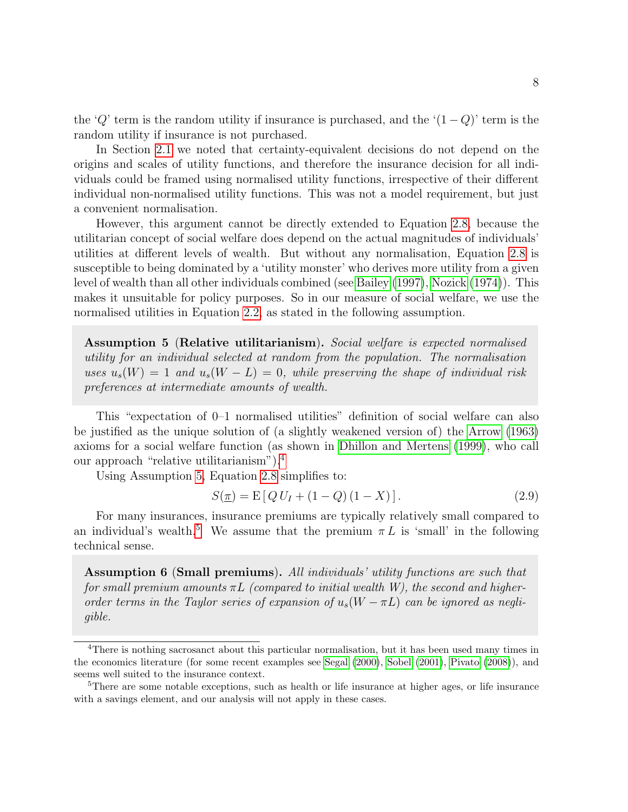the 'Q' term is the random utility if insurance is purchased, and the ' $(1 - Q)$ ' term is the random utility if insurance is not purchased.

In Section 2.1 we noted that certainty-equivalent decisions do not depend on the origins and scales of utility functions, and therefore the insurance decision for all individuals could be framed using normalised utility functions, irrespective of their different individual non-normalised utility functions. This was not a model requirement, but just a convenient normalisation.

However, this argument cannot be directly extended to Equation 2.8, because the utilitarian concept of social welfare does depend on the actual magnitudes of individuals' utilities at different levels of wealth. But without any normalisation, Equation 2.8 is susceptible to being dominated by a 'utility monster' who derives more utility from a given level of wealth than all other individuals combined (see Bailey (1997), Nozick (1974)). This makes it unsuitable for policy purposes. So in our measure of social welfare, we use the normalised utilities in Equation 2.2, as stated in the following assumption.

Assumption 5 (Relative utilitarianism). Social welfare is expected normalised utility for an individual selected at random from the population. The normalisation uses  $u_s(W) = 1$  and  $u_s(W - L) = 0$ , while preserving the shape of individual risk preferences at intermediate amounts of wealth.

This "expectation of 0–1 normalised utilities" definition of social welfare can also be justified as the unique solution of (a slightly weakened version of) the Arrow (1963) axioms for a social welfare function (as shown in Dhillon and Mertens (1999), who call our approach "relative utilitarianism").4

Using Assumption 5, Equation 2.8 simplifies to:

$$
S(\underline{\pi}) = \mathbb{E}[Q U_I + (1 - Q)(1 - X)]. \tag{2.9}
$$

For many insurances, insurance premiums are typically relatively small compared to an individual's wealth.<sup>5</sup> We assume that the premium  $\pi L$  is 'small' in the following technical sense.

Assumption 6 (Small premiums). All individuals' utility functions are such that for small premium amounts  $\pi L$  (compared to initial wealth W), the second and higherorder terms in the Taylor series of expansion of  $u_s(W - \pi L)$  can be ignored as negligible.

<sup>4</sup>There is nothing sacrosanct about this particular normalisation, but it has been used many times in the economics literature (for some recent examples see Segal (2000), Sobel (2001), Pivato (2008)), and seems well suited to the insurance context.

<sup>&</sup>lt;sup>5</sup>There are some notable exceptions, such as health or life insurance at higher ages, or life insurance with a savings element, and our analysis will not apply in these cases.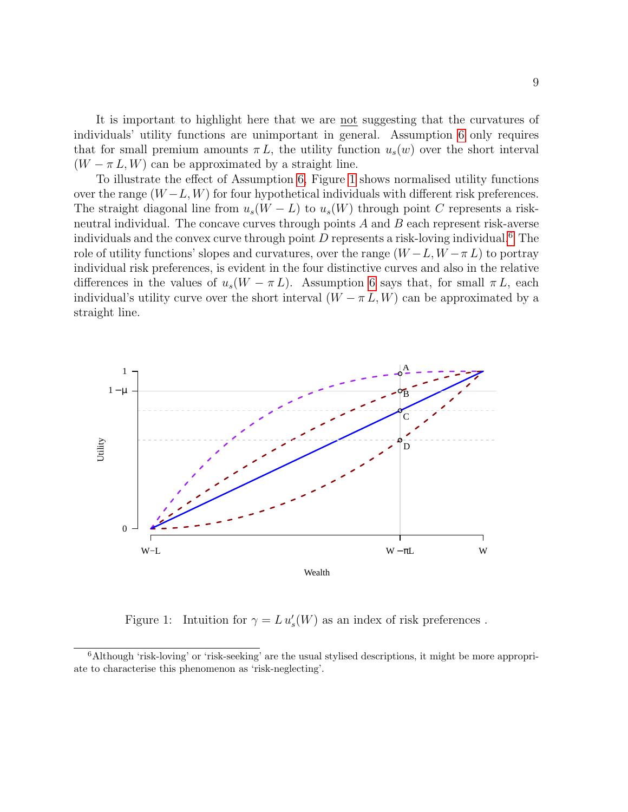It is important to highlight here that we are not suggesting that the curvatures of individuals' utility functions are unimportant in general. Assumption 6 only requires that for small premium amounts  $\pi L$ , the utility function  $u_s(w)$  over the short interval  $(W - \pi L, W)$  can be approximated by a straight line.

To illustrate the effect of Assumption 6, Figure 1 shows normalised utility functions over the range  $(W - L, W)$  for four hypothetical individuals with different risk preferences. The straight diagonal line from  $u_s(W - L)$  to  $u_s(W)$  through point C represents a riskneutral individual. The concave curves through points  $A$  and  $B$  each represent risk-averse individuals and the convex curve through point  $D$  represents a risk-loving individual.<sup>6</sup> The role of utility functions' slopes and curvatures, over the range  $(W - L, W - \pi L)$  to portray individual risk preferences, is evident in the four distinctive curves and also in the relative differences in the values of  $u_s(W - \pi L)$ . Assumption 6 says that, for small  $\pi L$ , each individual's utility curve over the short interval  $(W - \pi L, W)$  can be approximated by a straight line.



Figure 1: Intuition for  $\gamma = L u_s'(W)$  as an index of risk preferences.

<sup>6</sup>Although 'risk-loving' or 'risk-seeking' are the usual stylised descriptions, it might be more appropriate to characterise this phenomenon as 'risk-neglecting'.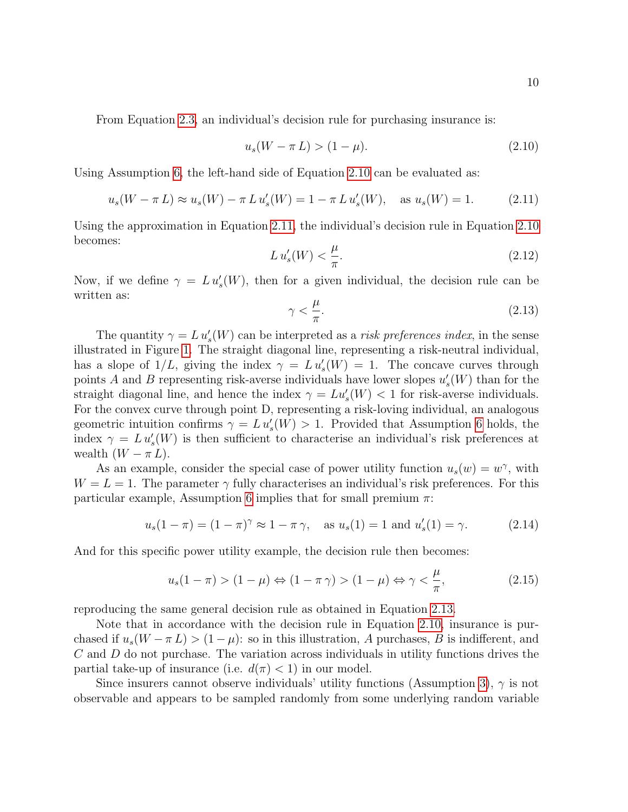From Equation 2.3, an individual's decision rule for purchasing insurance is:

$$
u_s(W - \pi L) > (1 - \mu). \tag{2.10}
$$

Using Assumption 6, the left-hand side of Equation 2.10 can be evaluated as:

$$
u_s(W - \pi L) \approx u_s(W) - \pi L u'_s(W) = 1 - \pi L u'_s(W), \text{ as } u_s(W) = 1.
$$
 (2.11)

Using the approximation in Equation 2.11, the individual's decision rule in Equation 2.10 becomes:

$$
Lu_s'(W) < \frac{\mu}{\pi}.\tag{2.12}
$$

Now, if we define  $\gamma = L u_s'(W)$ , then for a given individual, the decision rule can be written as:

$$
\gamma < \frac{\mu}{\pi}.\tag{2.13}
$$

The quantity  $\gamma = L u_s'(W)$  can be interpreted as a *risk preferences index*, in the sense illustrated in Figure 1. The straight diagonal line, representing a risk-neutral individual, has a slope of  $1/L$ , giving the index  $\gamma = L u_s'(W) = 1$ . The concave curves through points A and B representing risk-averse individuals have lower slopes  $u'_{s}(W)$  than for the straight diagonal line, and hence the index  $\gamma = Lu_s'(W) < 1$  for risk-averse individuals. For the convex curve through point D, representing a risk-loving individual, an analogous geometric intuition confirms  $\gamma = L u_s'(W) > 1$ . Provided that Assumption 6 holds, the index  $\gamma = L u_s'(W)$  is then sufficient to characterise an individual's risk preferences at wealth  $(W - \pi L)$ .

As an example, consider the special case of power utility function  $u_s(w) = w^{\gamma}$ , with  $W = L = 1$ . The parameter  $\gamma$  fully characterises an individual's risk preferences. For this particular example, Assumption 6 implies that for small premium  $\pi$ :

$$
u_s(1 - \pi) = (1 - \pi)^{\gamma} \approx 1 - \pi \gamma
$$
, as  $u_s(1) = 1$  and  $u'_s(1) = \gamma$ . (2.14)

And for this specific power utility example, the decision rule then becomes:

$$
u_s(1-\pi) > (1-\mu) \Leftrightarrow (1-\pi\gamma) > (1-\mu) \Leftrightarrow \gamma < \frac{\mu}{\pi},\tag{2.15}
$$

reproducing the same general decision rule as obtained in Equation 2.13.

Note that in accordance with the decision rule in Equation 2.10, insurance is purchased if  $u_s(W - \pi L) > (1 - \mu)$ : so in this illustration, A purchases, B is indifferent, and  $C$  and  $D$  do not purchase. The variation across individuals in utility functions drives the partial take-up of insurance (i.e.  $d(\pi) < 1$ ) in our model.

Since insurers cannot observe individuals' utility functions (Assumption 3),  $\gamma$  is not observable and appears to be sampled randomly from some underlying random variable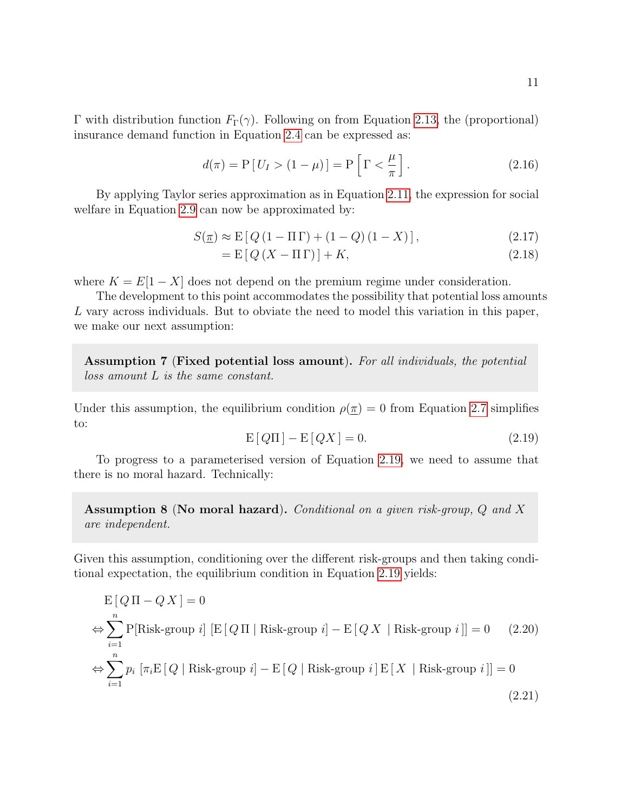$$
d(\pi) = P[U_I > (1 - \mu)] = P\left[\Gamma < \frac{\mu}{\pi}\right].
$$
\n(2.16)

By applying Taylor series approximation as in Equation 2.11, the expression for social welfare in Equation 2.9 can now be approximated by:

$$
S(\underline{\pi}) \approx \mathcal{E}[Q(1 - \Pi \Gamma) + (1 - Q)(1 - X)], \qquad (2.17)
$$

$$
= \mathcal{E}\left[Q\left(X - \Pi\Gamma\right)\right] + K,\tag{2.18}
$$

where  $K = E[1 - X]$  does not depend on the premium regime under consideration.

The development to this point accommodates the possibility that potential loss amounts L vary across individuals. But to obviate the need to model this variation in this paper, we make our next assumption:

Assumption 7 (Fixed potential loss amount). For all individuals, the potential loss amount L is the same constant.

Under this assumption, the equilibrium condition  $\rho(\underline{\pi}) = 0$  from Equation 2.7 simplifies to:

$$
E[Q\Pi] - E[QX] = 0.
$$
\n(2.19)

To progress to a parameterised version of Equation 2.19, we need to assume that there is no moral hazard. Technically:

Assumption 8 (No moral hazard). Conditional on a given risk-group, Q and X are independent.

Given this assumption, conditioning over the different risk-groups and then taking conditional expectation, the equilibrium condition in Equation 2.19 yields:

$$
E[Q\Pi - QX] = 0
$$
  
\n
$$
\Leftrightarrow \sum_{i=1}^{n} P[Risk-group i] [E[Q\Pi | Risk-group i] - E[QX | Risk-group i]] = 0
$$
 (2.20)  
\n
$$
\Leftrightarrow \sum_{i=1}^{n} p_i [\pi_i E[Q | Risk-group i] - E[Q | Risk-group i] E[X | Risk-group i]] = 0
$$
 (2.21)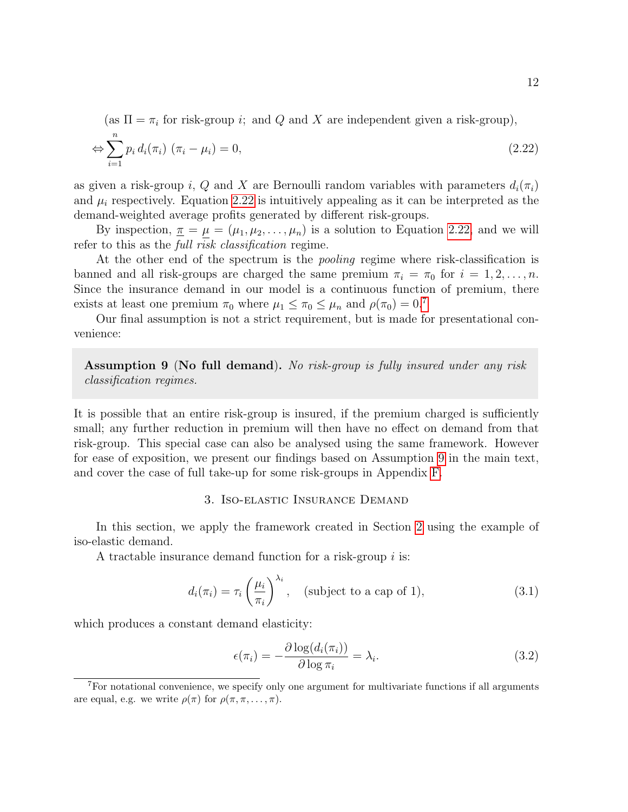(as  $\Pi = \pi_i$  for risk-group *i*; and *Q* and *X* are independent given a risk-group),

$$
\Leftrightarrow \sum_{i=1}^{n} p_i d_i(\pi_i) (\pi_i - \mu_i) = 0,
$$
\n(2.22)

as given a risk-group i, Q and X are Bernoulli random variables with parameters  $d_i(\pi_i)$ and  $\mu_i$  respectively. Equation 2.22 is intuitively appealing as it can be interpreted as the demand-weighted average profits generated by different risk-groups.

By inspection,  $\underline{\pi} = \mu = (\mu_1, \mu_2, \dots, \mu_n)$  is a solution to Equation 2.22, and we will refer to this as the full risk classification regime.

At the other end of the spectrum is the *pooling* regime where risk-classification is banned and all risk-groups are charged the same premium  $\pi_i = \pi_0$  for  $i = 1, 2, \ldots, n$ . Since the insurance demand in our model is a continuous function of premium, there exists at least one premium  $\pi_0$  where  $\mu_1 \leq \pi_0 \leq \mu_n$  and  $\rho(\pi_0) = 0$ .<sup>7</sup>

Our final assumption is not a strict requirement, but is made for presentational convenience:

Assumption 9 (No full demand). No risk-group is fully insured under any risk classification regimes.

It is possible that an entire risk-group is insured, if the premium charged is sufficiently small; any further reduction in premium will then have no effect on demand from that risk-group. This special case can also be analysed using the same framework. However for ease of exposition, we present our findings based on Assumption 9 in the main text, and cover the case of full take-up for some risk-groups in Appendix F.

#### 3. Iso-elastic Insurance Demand

In this section, we apply the framework created in Section 2 using the example of iso-elastic demand.

A tractable insurance demand function for a risk-group i is:

$$
d_i(\pi_i) = \tau_i \left(\frac{\mu_i}{\pi_i}\right)^{\lambda_i}, \quad \text{(subject to a cap of 1)}, \tag{3.1}
$$

which produces a constant demand elasticity:

$$
\epsilon(\pi_i) = -\frac{\partial \log(d_i(\pi_i))}{\partial \log \pi_i} = \lambda_i.
$$
\n(3.2)

<sup>7</sup>For notational convenience, we specify only one argument for multivariate functions if all arguments are equal, e.g. we write  $\rho(\pi)$  for  $\rho(\pi, \pi, \ldots, \pi)$ .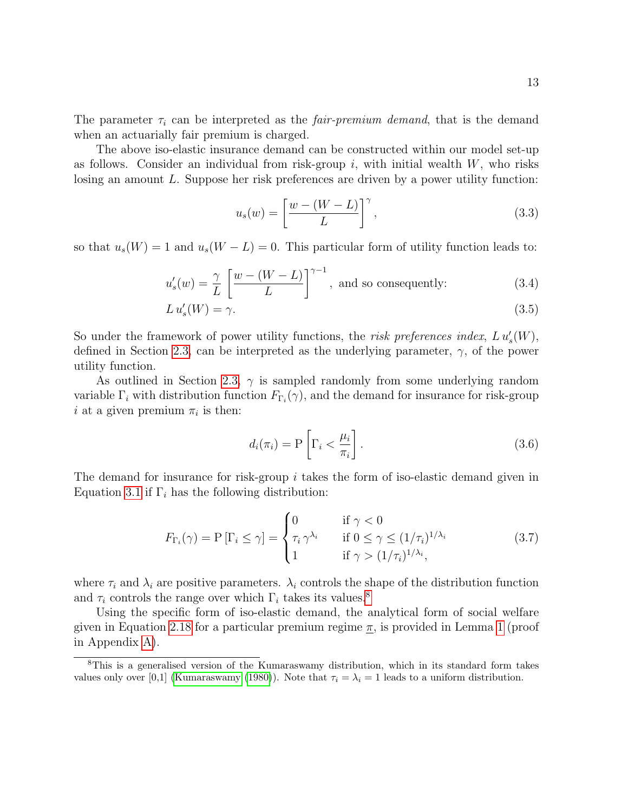The parameter  $\tau_i$  can be interpreted as the *fair-premium demand*, that is the demand when an actuarially fair premium is charged.

The above iso-elastic insurance demand can be constructed within our model set-up as follows. Consider an individual from risk-group  $i$ , with initial wealth  $W$ , who risks losing an amount L. Suppose her risk preferences are driven by a power utility function:

$$
u_s(w) = \left[\frac{w - (W - L)}{L}\right]^\gamma,\tag{3.3}
$$

so that  $u_s(W) = 1$  and  $u_s(W - L) = 0$ . This particular form of utility function leads to:

$$
u_s'(w) = \frac{\gamma}{L} \left[ \frac{w - (W - L)}{L} \right]^{\gamma - 1}, \text{ and so consequently: } (3.4)
$$

$$
L u_s'(W) = \gamma. \tag{3.5}
$$

So under the framework of power utility functions, the *risk preferences index,*  $L u_s'(W)$ , defined in Section 2.3, can be interpreted as the underlying parameter,  $\gamma$ , of the power utility function.

As outlined in Section 2.3,  $\gamma$  is sampled randomly from some underlying random variable  $\Gamma_i$  with distribution function  $F_{\Gamma_i}(\gamma)$ , and the demand for insurance for risk-group i at a given premium  $\pi_i$  is then:

$$
d_i(\pi_i) = P\left[\Gamma_i < \frac{\mu_i}{\pi_i}\right].\tag{3.6}
$$

The demand for insurance for risk-group i takes the form of iso-elastic demand given in Equation 3.1 if  $\Gamma_i$  has the following distribution:

$$
F_{\Gamma_i}(\gamma) = \mathcal{P}\left[\Gamma_i \le \gamma\right] = \begin{cases} 0 & \text{if } \gamma < 0 \\ \tau_i \gamma^{\lambda_i} & \text{if } 0 \le \gamma \le (1/\tau_i)^{1/\lambda_i} \\ 1 & \text{if } \gamma > (1/\tau_i)^{1/\lambda_i}, \end{cases} \tag{3.7}
$$

where  $\tau_i$  and  $\lambda_i$  are positive parameters.  $\lambda_i$  controls the shape of the distribution function and  $\tau_i$  controls the range over which  $\Gamma_i$  takes its values.<sup>8</sup>

Using the specific form of iso-elastic demand, the analytical form of social welfare given in Equation 2.18 for a particular premium regime  $\pi$ , is provided in Lemma 1 (proof in Appendix A).

<sup>8</sup>This is a generalised version of the Kumaraswamy distribution, which in its standard form takes values only over [0,1] (Kumaraswamy (1980)). Note that  $\tau_i = \lambda_i = 1$  leads to a uniform distribution.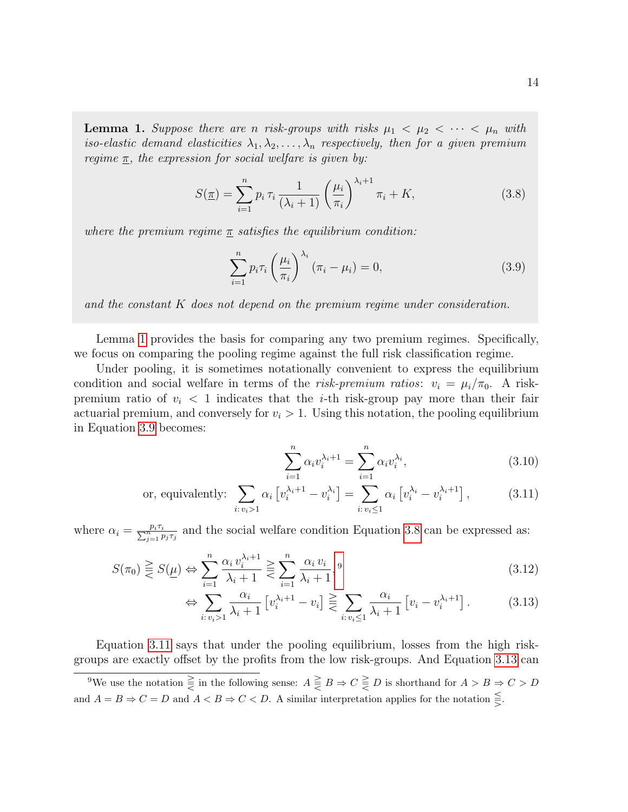**Lemma 1.** Suppose there are n risk-groups with risks  $\mu_1 < \mu_2 < \cdots < \mu_n$  with iso-elastic demand elasticities  $\lambda_1, \lambda_2, \ldots, \lambda_n$  respectively, then for a given premium regime  $\underline{\pi}$ , the expression for social welfare is given by:

$$
S(\underline{\pi}) = \sum_{i=1}^{n} p_i \,\tau_i \,\frac{1}{(\lambda_i + 1)} \left(\frac{\mu_i}{\pi_i}\right)^{\lambda_i + 1} \pi_i + K,\tag{3.8}
$$

where the premium regime  $\pi$  satisfies the equilibrium condition:

$$
\sum_{i=1}^{n} p_i \tau_i \left(\frac{\mu_i}{\pi_i}\right)^{\lambda_i} \left(\pi_i - \mu_i\right) = 0,\tag{3.9}
$$

and the constant K does not depend on the premium regime under consideration.

Lemma 1 provides the basis for comparing any two premium regimes. Specifically, we focus on comparing the pooling regime against the full risk classification regime.

Under pooling, it is sometimes notationally convenient to express the equilibrium condition and social welfare in terms of the risk-premium ratios:  $v_i = \mu_i/\pi_0$ . A riskpremium ratio of  $v_i < 1$  indicates that the *i*-th risk-group pay more than their fair actuarial premium, and conversely for  $v_i > 1$ . Using this notation, the pooling equilibrium in Equation 3.9 becomes:

$$
\sum_{i=1}^{n} \alpha_i v_i^{\lambda_i+1} = \sum_{i=1}^{n} \alpha_i v_i^{\lambda_i},\tag{3.10}
$$

or, equivalently: 
$$
\sum_{i: v_i > 1} \alpha_i \left[ v_i^{\lambda_i+1} - v_i^{\lambda_i} \right] = \sum_{i: v_i \le 1} \alpha_i \left[ v_i^{\lambda_i} - v_i^{\lambda_i+1} \right],
$$
 (3.11)

where  $\alpha_i = \frac{p_i \tau_i}{\sum_{j=1}^n p_j \tau_j}$  and the social welfare condition Equation 3.8 can be expressed as:

$$
S(\pi_0) \geq S(\underline{\mu}) \Leftrightarrow \sum_{i=1}^n \frac{\alpha_i v_i^{\lambda_i+1}}{\lambda_i+1} \geq \sum_{i=1}^n \frac{\alpha_i v_i}{\lambda_i+1},
$$
\n(3.12)

$$
\Leftrightarrow \sum_{i:v_i>1} \frac{\alpha_i}{\lambda_i+1} \left[ v_i^{\lambda_i+1} - v_i \right] \gtreqless_{i:v_i \le 1} \frac{\alpha_i}{\lambda_i+1} \left[ v_i - v_i^{\lambda_i+1} \right]. \tag{3.13}
$$

Equation 3.11 says that under the pooling equilibrium, losses from the high riskgroups are exactly offset by the profits from the low risk-groups. And Equation 3.13 can

<sup>&</sup>lt;sup>9</sup>We use the notation  $\geq \atop 0 \leq x \leq 0$  is shorthand for  $A > B \Rightarrow C > D$ and  $A = B \Rightarrow C = D$  and  $A < B \Rightarrow C < D$ . A similar interpretation applies for the notation  $\leq$ .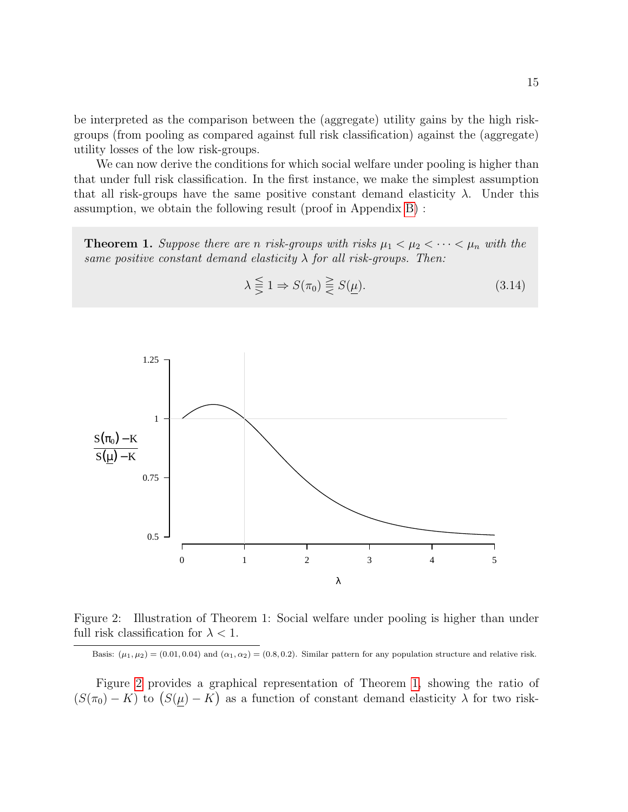be interpreted as the comparison between the (aggregate) utility gains by the high riskgroups (from pooling as compared against full risk classification) against the (aggregate) utility losses of the low risk-groups.

We can now derive the conditions for which social welfare under pooling is higher than that under full risk classification. In the first instance, we make the simplest assumption that all risk-groups have the same positive constant demand elasticity  $\lambda$ . Under this assumption, we obtain the following result (proof in Appendix B) :

**Theorem 1.** Suppose there are n risk-groups with risks  $\mu_1 < \mu_2 < \cdots < \mu_n$  with the same positive constant demand elasticity  $\lambda$  for all risk-groups. Then:



$$
\lambda \leqq 1 \Rightarrow S(\pi_0) \geqq S(\mu). \tag{3.14}
$$

Figure 2: Illustration of Theorem 1: Social welfare under pooling is higher than under full risk classification for  $\lambda < 1$ .

Basis:  $(\mu_1, \mu_2) = (0.01, 0.04)$  and  $(\alpha_1, \alpha_2) = (0.8, 0.2)$ . Similar pattern for any population structure and relative risk.

Figure 2 provides a graphical representation of Theorem 1, showing the ratio of  $(S(\pi_0) - K)$  to  $(S(\mu) - K)$  as a function of constant demand elasticity  $\lambda$  for two risk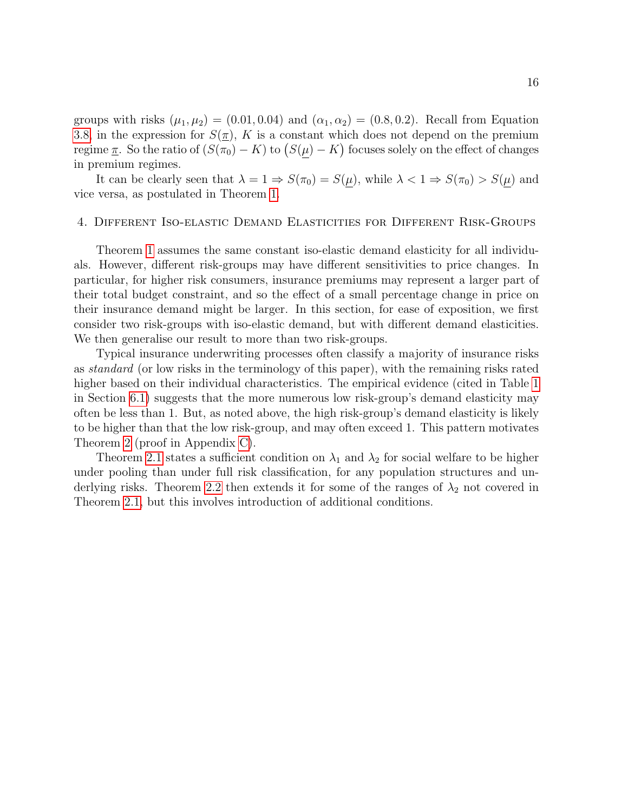groups with risks  $(\mu_1, \mu_2) = (0.01, 0.04)$  and  $(\alpha_1, \alpha_2) = (0.8, 0.2)$ . Recall from Equation 3.8, in the expression for  $S(\pi)$ , K is a constant which does not depend on the premium regime  $\underline{\pi}$ . So the ratio of  $(S(\pi_0) - K)$  to  $(S(\mu) - K)$  focuses solely on the effect of changes in premium regimes.

It can be clearly seen that  $\lambda = 1 \Rightarrow S(\pi_0) = S(\underline{\mu})$ , while  $\lambda < 1 \Rightarrow S(\pi_0) > S(\underline{\mu})$  and vice versa, as postulated in Theorem 1.

#### 4. Different Iso-elastic Demand Elasticities for Different Risk-Groups

Theorem 1 assumes the same constant iso-elastic demand elasticity for all individuals. However, different risk-groups may have different sensitivities to price changes. In particular, for higher risk consumers, insurance premiums may represent a larger part of their total budget constraint, and so the effect of a small percentage change in price on their insurance demand might be larger. In this section, for ease of exposition, we first consider two risk-groups with iso-elastic demand, but with different demand elasticities. We then generalise our result to more than two risk-groups.

Typical insurance underwriting processes often classify a majority of insurance risks as standard (or low risks in the terminology of this paper), with the remaining risks rated higher based on their individual characteristics. The empirical evidence (cited in Table 1 in Section 6.1) suggests that the more numerous low risk-group's demand elasticity may often be less than 1. But, as noted above, the high risk-group's demand elasticity is likely to be higher than that the low risk-group, and may often exceed 1. This pattern motivates Theorem 2 (proof in Appendix C).

Theorem 2.1 states a sufficient condition on  $\lambda_1$  and  $\lambda_2$  for social welfare to be higher under pooling than under full risk classification, for any population structures and underlying risks. Theorem 2.2 then extends it for some of the ranges of  $\lambda_2$  not covered in Theorem 2.1, but this involves introduction of additional conditions.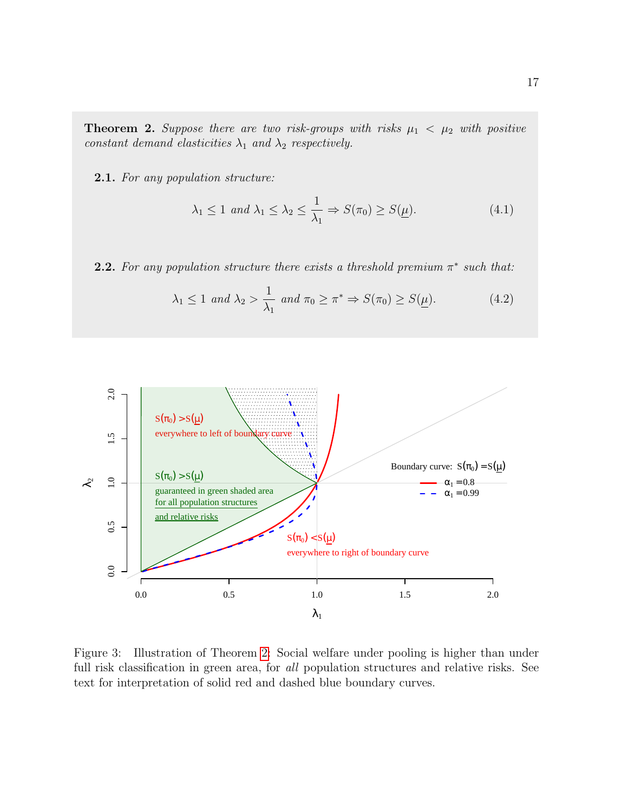**Theorem 2.** Suppose there are two risk-groups with risks  $\mu_1 < \mu_2$  with positive constant demand elasticities  $\lambda_1$  and  $\lambda_2$  respectively.

2.1. For any population structure:

$$
\lambda_1 \le 1 \text{ and } \lambda_1 \le \lambda_2 \le \frac{1}{\lambda_1} \Rightarrow S(\pi_0) \ge S(\underline{\mu}). \tag{4.1}
$$

**2.2.** For any population structure there exists a threshold premium  $\pi^*$  such that:

$$
\lambda_1 \le 1 \text{ and } \lambda_2 > \frac{1}{\lambda_1} \text{ and } \pi_0 \ge \pi^* \Rightarrow S(\pi_0) \ge S(\underline{\mu}). \tag{4.2}
$$



Figure 3: Illustration of Theorem 2: Social welfare under pooling is higher than under full risk classification in green area, for all population structures and relative risks. See text for interpretation of solid red and dashed blue boundary curves.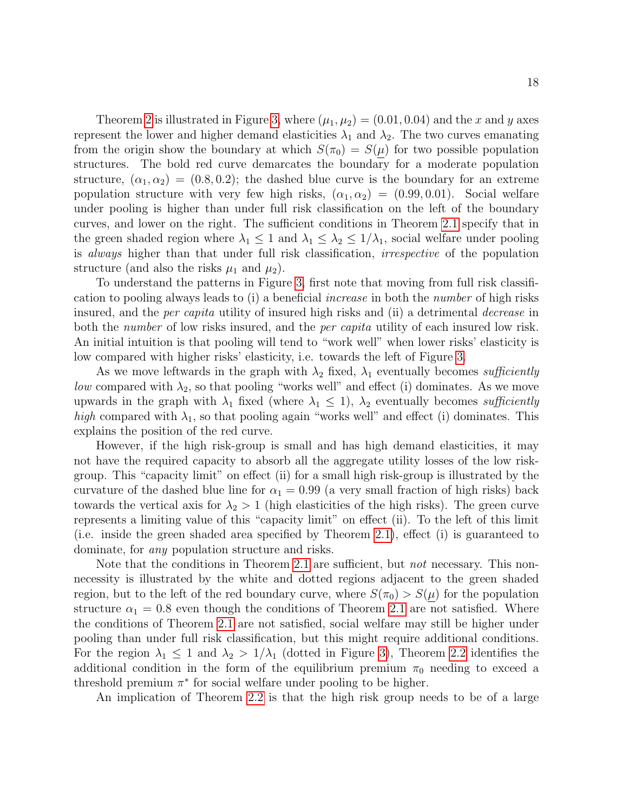Theorem 2 is illustrated in Figure 3, where  $(\mu_1, \mu_2) = (0.01, 0.04)$  and the x and y axes represent the lower and higher demand elasticities  $\lambda_1$  and  $\lambda_2$ . The two curves emanating from the origin show the boundary at which  $S(\pi_0) = S(\mu)$  for two possible population structures. The bold red curve demarcates the boundary for a moderate population structure,  $(\alpha_1, \alpha_2) = (0.8, 0.2)$ ; the dashed blue curve is the boundary for an extreme population structure with very few high risks,  $(\alpha_1, \alpha_2) = (0.99, 0.01)$ . Social welfare under pooling is higher than under full risk classification on the left of the boundary curves, and lower on the right. The sufficient conditions in Theorem 2.1 specify that in the green shaded region where  $\lambda_1 \leq 1$  and  $\lambda_1 \leq \lambda_2 \leq 1/\lambda_1$ , social welfare under pooling is always higher than that under full risk classification, irrespective of the population structure (and also the risks  $\mu_1$  and  $\mu_2$ ).

To understand the patterns in Figure 3, first note that moving from full risk classification to pooling always leads to (i) a beneficial increase in both the number of high risks insured, and the *per capita* utility of insured high risks and (ii) a detrimental *decrease* in both the *number* of low risks insured, and the *per capita* utility of each insured low risk. An initial intuition is that pooling will tend to "work well" when lower risks' elasticity is low compared with higher risks' elasticity, i.e. towards the left of Figure 3.

As we move leftwards in the graph with  $\lambda_2$  fixed,  $\lambda_1$  eventually becomes sufficiently *low* compared with  $\lambda_2$ , so that pooling "works well" and effect (i) dominates. As we move upwards in the graph with  $\lambda_1$  fixed (where  $\lambda_1 \leq 1$ ),  $\lambda_2$  eventually becomes sufficiently high compared with  $\lambda_1$ , so that pooling again "works well" and effect (i) dominates. This explains the position of the red curve.

However, if the high risk-group is small and has high demand elasticities, it may not have the required capacity to absorb all the aggregate utility losses of the low riskgroup. This "capacity limit" on effect (ii) for a small high risk-group is illustrated by the curvature of the dashed blue line for  $\alpha_1 = 0.99$  (a very small fraction of high risks) back towards the vertical axis for  $\lambda_2 > 1$  (high elasticities of the high risks). The green curve represents a limiting value of this "capacity limit" on effect (ii). To the left of this limit (i.e. inside the green shaded area specified by Theorem 2.1), effect (i) is guaranteed to dominate, for any population structure and risks.

Note that the conditions in Theorem 2.1 are sufficient, but *not* necessary. This nonnecessity is illustrated by the white and dotted regions adjacent to the green shaded region, but to the left of the red boundary curve, where  $S(\pi_0) > S(\mu)$  for the population structure  $\alpha_1 = 0.8$  even though the conditions of Theorem 2.1 are not satisfied. Where the conditions of Theorem 2.1 are not satisfied, social welfare may still be higher under pooling than under full risk classification, but this might require additional conditions. For the region  $\lambda_1 \leq 1$  and  $\lambda_2 > 1/\lambda_1$  (dotted in Figure 3), Theorem 2.2 identifies the additional condition in the form of the equilibrium premium  $\pi_0$  needing to exceed a threshold premium  $\pi^*$  for social welfare under pooling to be higher.

An implication of Theorem 2.2 is that the high risk group needs to be of a large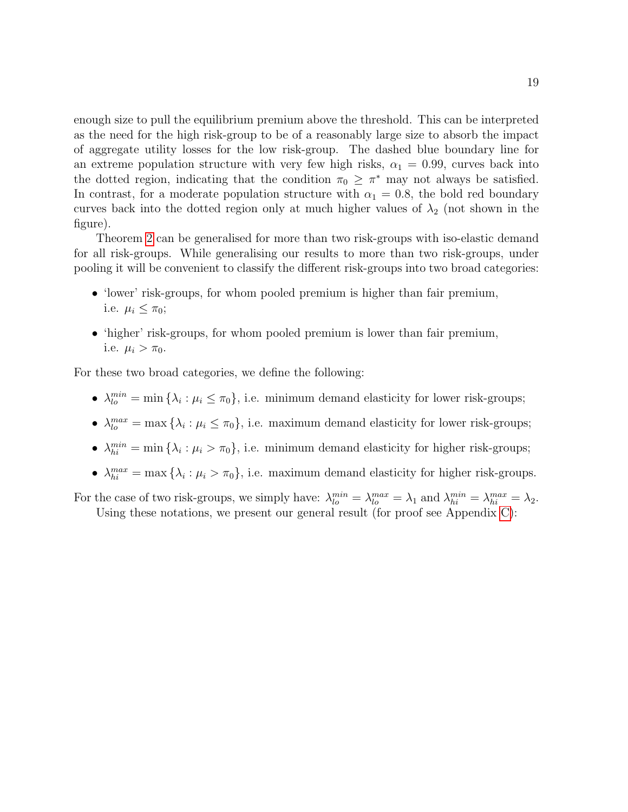enough size to pull the equilibrium premium above the threshold. This can be interpreted as the need for the high risk-group to be of a reasonably large size to absorb the impact of aggregate utility losses for the low risk-group. The dashed blue boundary line for an extreme population structure with very few high risks,  $\alpha_1 = 0.99$ , curves back into the dotted region, indicating that the condition  $\pi_0 \geq \pi^*$  may not always be satisfied. In contrast, for a moderate population structure with  $\alpha_1 = 0.8$ , the bold red boundary curves back into the dotted region only at much higher values of  $\lambda_2$  (not shown in the figure).

Theorem 2 can be generalised for more than two risk-groups with iso-elastic demand for all risk-groups. While generalising our results to more than two risk-groups, under pooling it will be convenient to classify the different risk-groups into two broad categories:

- 'lower' risk-groups, for whom pooled premium is higher than fair premium, i.e.  $\mu_i \leq \pi_0$ ;
- 'higher' risk-groups, for whom pooled premium is lower than fair premium, i.e.  $\mu_i > \pi_0$ .

For these two broad categories, we define the following:

- $\lambda_{lo}^{min} = \min \{\lambda_i : \mu_i \leq \pi_0\}$ , i.e. minimum demand elasticity for lower risk-groups;
- $\lambda_{lo}^{max} = \max \{\lambda_i : \mu_i \leq \pi_0\}$ , i.e. maximum demand elasticity for lower risk-groups;
- $\lambda_{hi}^{min} = \min \{\lambda_i : \mu_i > \pi_0\}$ , i.e. minimum demand elasticity for higher risk-groups;
- $\lambda_{hi}^{max} = \max \{\lambda_i : \mu_i > \pi_0\},\$ i.e. maximum demand elasticity for higher risk-groups.

For the case of two risk-groups, we simply have:  $\lambda_{lo}^{min} = \lambda_{lo}^{max} = \lambda_1$  and  $\lambda_{hi}^{min} = \lambda_{hi}^{max} = \lambda_2$ . Using these notations, we present our general result (for proof see Appendix C):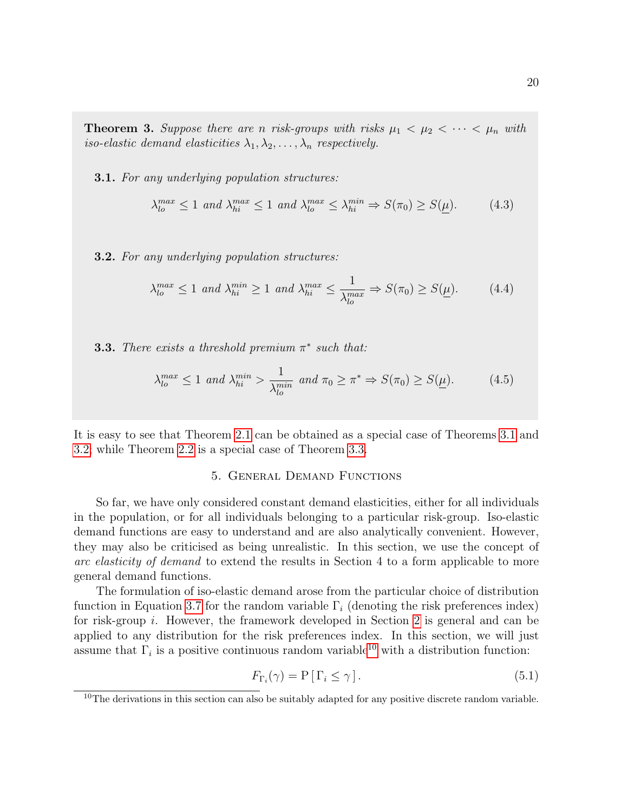**Theorem 3.** Suppose there are n risk-groups with risks  $\mu_1 < \mu_2 < \cdots < \mu_n$  with iso-elastic demand elasticities  $\lambda_1, \lambda_2, \ldots, \lambda_n$  respectively.

**3.1.** For any underlying population structures:

$$
\lambda_{lo}^{max} \le 1 \ and \ \lambda_{hi}^{max} \le 1 \ and \ \lambda_{lo}^{max} \le \lambda_{hi}^{min} \Rightarrow S(\pi_0) \ge S(\underline{\mu}). \tag{4.3}
$$

**3.2.** For any underlying population structures:

$$
\lambda_{lo}^{max} \le 1 \text{ and } \lambda_{hi}^{min} \ge 1 \text{ and } \lambda_{hi}^{max} \le \frac{1}{\lambda_{lo}^{max}} \Rightarrow S(\pi_0) \ge S(\underline{\mu}). \tag{4.4}
$$

**3.3.** There exists a threshold premium  $\pi^*$  such that:

$$
\lambda_{lo}^{max} \le 1 \text{ and } \lambda_{hi}^{min} > \frac{1}{\lambda_{lo}^{min}} \text{ and } \pi_0 \ge \pi^* \Rightarrow S(\pi_0) \ge S(\underline{\mu}). \tag{4.5}
$$

It is easy to see that Theorem 2.1 can be obtained as a special case of Theorems 3.1 and 3.2; while Theorem 2.2 is a special case of Theorem 3.3.

#### 5. General Demand Functions

So far, we have only considered constant demand elasticities, either for all individuals in the population, or for all individuals belonging to a particular risk-group. Iso-elastic demand functions are easy to understand and are also analytically convenient. However, they may also be criticised as being unrealistic. In this section, we use the concept of arc elasticity of demand to extend the results in Section 4 to a form applicable to more general demand functions.

The formulation of iso-elastic demand arose from the particular choice of distribution function in Equation 3.7 for the random variable  $\Gamma_i$  (denoting the risk preferences index) for risk-group i. However, the framework developed in Section 2 is general and can be applied to any distribution for the risk preferences index. In this section, we will just assume that  $\Gamma_i$  is a positive continuous random variable<sup>10</sup> with a distribution function:

$$
F_{\Gamma_i}(\gamma) = \mathcal{P} \left[ \Gamma_i \le \gamma \right]. \tag{5.1}
$$

<sup>&</sup>lt;sup>10</sup>The derivations in this section can also be suitably adapted for any positive discrete random variable.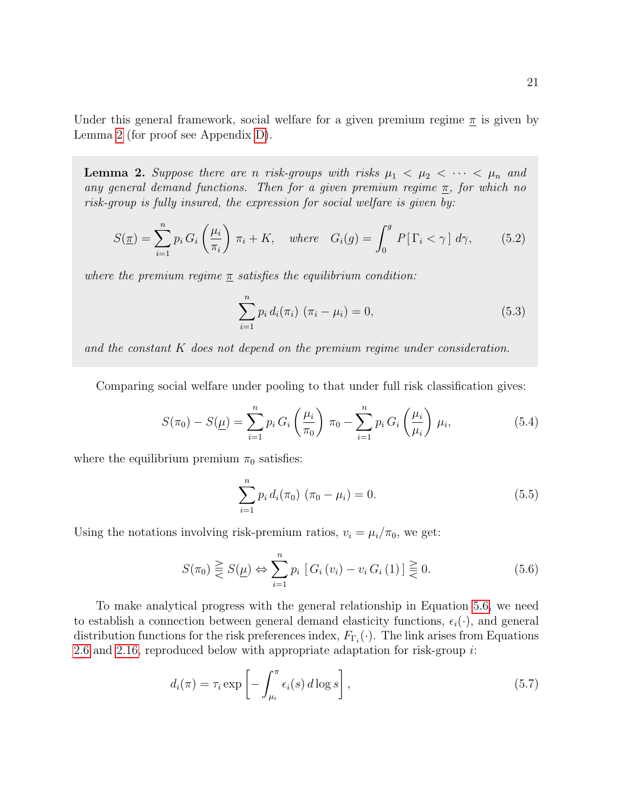Under this general framework, social welfare for a given premium regime  $\pi$  is given by Lemma 2 (for proof see Appendix D).

**Lemma 2.** Suppose there are n risk-groups with risks  $\mu_1 < \mu_2 < \cdots < \mu_n$  and any general demand functions. Then for a given premium regime  $\pi$ , for which no risk-group is fully insured, the expression for social welfare is given by:

$$
S(\underline{\pi}) = \sum_{i=1}^{n} p_i G_i \left(\frac{\mu_i}{\pi_i}\right) \pi_i + K, \quad \text{where} \quad G_i(g) = \int_0^g P[\Gamma_i < \gamma] \, d\gamma,\tag{5.2}
$$

where the premium regime  $\pi$  satisfies the equilibrium condition:

$$
\sum_{i=1}^{n} p_i d_i(\pi_i) (\pi_i - \mu_i) = 0,
$$
\n(5.3)

and the constant K does not depend on the premium regime under consideration.

Comparing social welfare under pooling to that under full risk classification gives:

$$
S(\pi_0) - S(\underline{\mu}) = \sum_{i=1}^{n} p_i G_i \left(\frac{\mu_i}{\pi_0}\right) \pi_0 - \sum_{i=1}^{n} p_i G_i \left(\frac{\mu_i}{\mu_i}\right) \mu_i,
$$
 (5.4)

where the equilibrium premium  $\pi_0$  satisfies:

$$
\sum_{i=1}^{n} p_i d_i(\pi_0) (\pi_0 - \mu_i) = 0.
$$
 (5.5)

Using the notations involving risk-premium ratios,  $v_i = \mu_i/\pi_0$ , we get:

$$
S(\pi_0) \geq S(\underline{\mu}) \Leftrightarrow \sum_{i=1}^{n} p_i \left[ G_i \left( v_i \right) - v_i \, G_i \left( 1 \right) \right] \geq 0. \tag{5.6}
$$

To make analytical progress with the general relationship in Equation 5.6, we need to establish a connection between general demand elasticity functions,  $\epsilon_i(\cdot)$ , and general distribution functions for the risk preferences index,  $F_{\Gamma_i}(\cdot)$ . The link arises from Equations 2.6 and 2.16, reproduced below with appropriate adaptation for risk-group i:

$$
d_i(\pi) = \tau_i \exp\left[-\int_{\mu_i}^{\pi} \epsilon_i(s) d\log s\right],\tag{5.7}
$$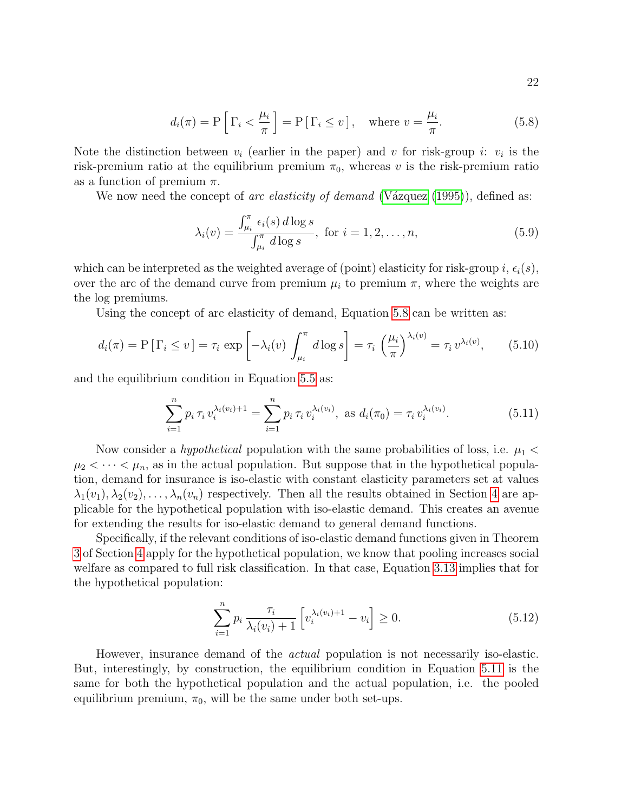$$
d_i(\pi) = P\left[\Gamma_i < \frac{\mu_i}{\pi}\right] = P\left[\Gamma_i \le v\right], \quad \text{where } v = \frac{\mu_i}{\pi}.\tag{5.8}
$$

Note the distinction between  $v_i$  (earlier in the paper) and v for risk-group i:  $v_i$  is the risk-premium ratio at the equilibrium premium  $\pi_0$ , whereas v is the risk-premium ratio as a function of premium  $\pi$ .

We now need the concept of arc elasticity of demand (Vázquez  $(1995)$ ), defined as:

$$
\lambda_i(v) = \frac{\int_{\mu_i}^{\pi} \epsilon_i(s) d \log s}{\int_{\mu_i}^{\pi} d \log s}, \text{ for } i = 1, 2, \dots, n,
$$
\n(5.9)

which can be interpreted as the weighted average of (point) elasticity for risk-group i,  $\epsilon_i(s)$ , over the arc of the demand curve from premium  $\mu_i$  to premium  $\pi$ , where the weights are the log premiums.

Using the concept of arc elasticity of demand, Equation 5.8 can be written as:

$$
d_i(\pi) = \mathcal{P}\left[\Gamma_i \le v\right] = \tau_i \exp\left[-\lambda_i(v)\int_{\mu_i}^{\pi} d\log s\right] = \tau_i \left(\frac{\mu_i}{\pi}\right)^{\lambda_i(v)} = \tau_i v^{\lambda_i(v)},\tag{5.10}
$$

and the equilibrium condition in Equation 5.5 as:

$$
\sum_{i=1}^{n} p_i \,\tau_i \, v_i^{\lambda_i(v_i)+1} = \sum_{i=1}^{n} p_i \,\tau_i \, v_i^{\lambda_i(v_i)}, \text{ as } d_i(\pi_0) = \tau_i \, v_i^{\lambda_i(v_i)}.
$$
 (5.11)

Now consider a *hypothetical* population with the same probabilities of loss, i.e.  $\mu_1$  <  $\mu_2 < \cdots < \mu_n$ , as in the actual population. But suppose that in the hypothetical population, demand for insurance is iso-elastic with constant elasticity parameters set at values  $\lambda_1(v_1), \lambda_2(v_2), \ldots, \lambda_n(v_n)$  respectively. Then all the results obtained in Section 4 are applicable for the hypothetical population with iso-elastic demand. This creates an avenue for extending the results for iso-elastic demand to general demand functions.

Specifically, if the relevant conditions of iso-elastic demand functions given in Theorem 3 of Section 4 apply for the hypothetical population, we know that pooling increases social welfare as compared to full risk classification. In that case, Equation 3.13 implies that for the hypothetical population:

$$
\sum_{i=1}^{n} p_i \frac{\tau_i}{\lambda_i(v_i) + 1} \left[ v_i^{\lambda_i(v_i) + 1} - v_i \right] \ge 0.
$$
\n(5.12)

However, insurance demand of the actual population is not necessarily iso-elastic. But, interestingly, by construction, the equilibrium condition in Equation 5.11 is the same for both the hypothetical population and the actual population, i.e. the pooled equilibrium premium,  $\pi_0$ , will be the same under both set-ups.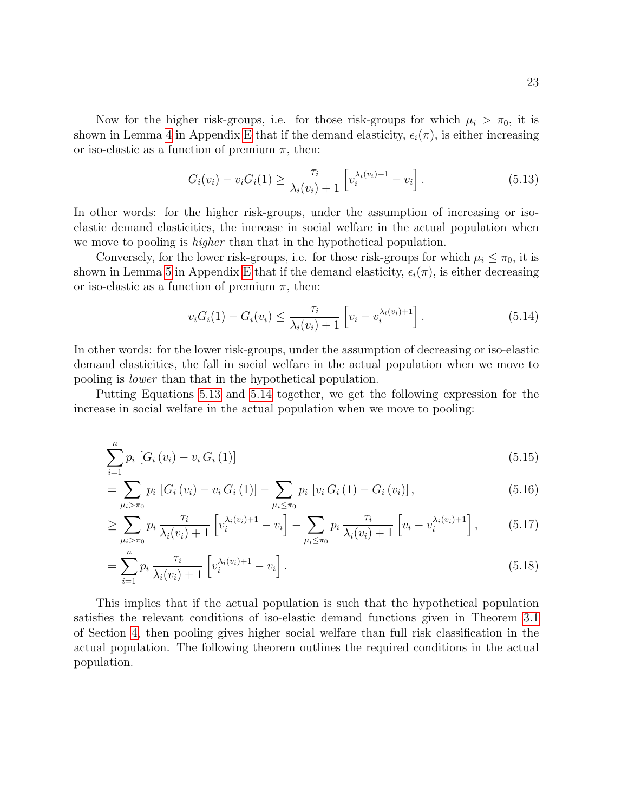Now for the higher risk-groups, i.e. for those risk-groups for which  $\mu_i > \pi_0$ , it is shown in Lemma 4 in Appendix E that if the demand elasticity,  $\epsilon_i(\pi)$ , is either increasing or iso-elastic as a function of premium  $\pi$ , then:

$$
G_i(v_i) - v_i G_i(1) \ge \frac{\tau_i}{\lambda_i(v_i) + 1} \left[ v_i^{\lambda_i(v_i) + 1} - v_i \right]. \tag{5.13}
$$

In other words: for the higher risk-groups, under the assumption of increasing or isoelastic demand elasticities, the increase in social welfare in the actual population when we move to pooling is *higher* than that in the hypothetical population.

Conversely, for the lower risk-groups, i.e. for those risk-groups for which  $\mu_i \leq \pi_0$ , it is shown in Lemma 5 in Appendix E that if the demand elasticity,  $\epsilon_i(\pi)$ , is either decreasing or iso-elastic as a function of premium  $\pi$ , then:

$$
v_i G_i(1) - G_i(v_i) \le \frac{\tau_i}{\lambda_i(v_i) + 1} \left[ v_i - v_i^{\lambda_i(v_i) + 1} \right].
$$
\n(5.14)

In other words: for the lower risk-groups, under the assumption of decreasing or iso-elastic demand elasticities, the fall in social welfare in the actual population when we move to pooling is lower than that in the hypothetical population.

Putting Equations 5.13 and 5.14 together, we get the following expression for the increase in social welfare in the actual population when we move to pooling:

$$
\sum_{i=1}^{n} p_i \left[ G_i \left( v_i \right) - v_i \, G_i \left( 1 \right) \right] \tag{5.15}
$$

$$
= \sum_{\mu_{i} > \pi_{0}} p_{i} \left[ G_{i} \left( v_{i} \right) - v_{i} \right] G_{i} \left( 1 \right) \right] - \sum_{\mu_{i} \leq \pi_{0}} p_{i} \left[ v_{i} \right] G_{i} \left( 1 \right) - G_{i} \left( v_{i} \right) \right], \tag{5.16}
$$

$$
\geq \sum_{\mu_i > \pi_0} p_i \frac{\tau_i}{\lambda_i(v_i) + 1} \left[ v_i^{\lambda_i(v_i) + 1} - v_i \right] - \sum_{\mu_i \leq \pi_0} p_i \frac{\tau_i}{\lambda_i(v_i) + 1} \left[ v_i - v_i^{\lambda_i(v_i) + 1} \right],\tag{5.17}
$$

$$
= \sum_{i=1}^{n} p_i \frac{\tau_i}{\lambda_i(v_i) + 1} \left[ v_i^{\lambda_i(v_i) + 1} - v_i \right]. \tag{5.18}
$$

This implies that if the actual population is such that the hypothetical population satisfies the relevant conditions of iso-elastic demand functions given in Theorem 3.1 of Section 4, then pooling gives higher social welfare than full risk classification in the actual population. The following theorem outlines the required conditions in the actual population.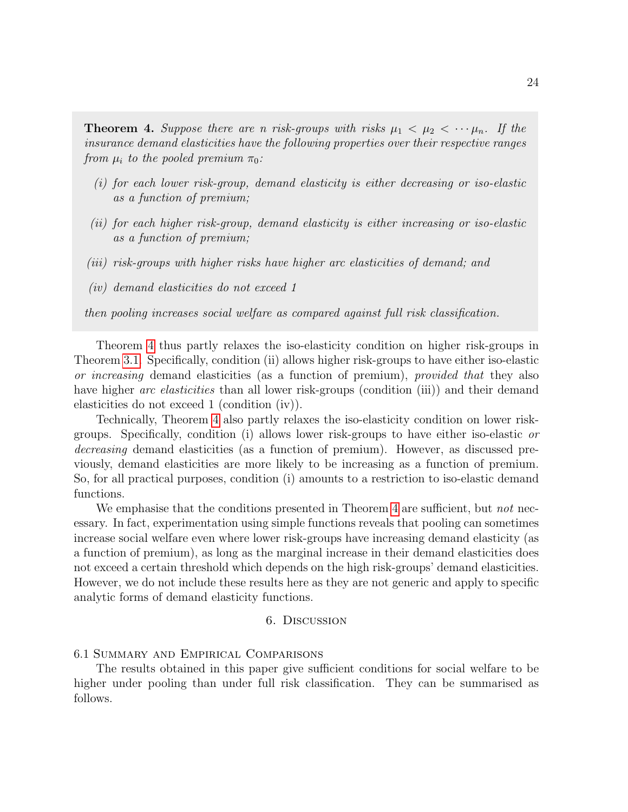**Theorem 4.** Suppose there are n risk-groups with risks  $\mu_1 < \mu_2 < \cdots \mu_n$ . If the insurance demand elasticities have the following properties over their respective ranges from  $\mu_i$  to the pooled premium  $\pi_0$ :

- (i) for each lower risk-group, demand elasticity is either decreasing or iso-elastic as a function of premium;
- (ii) for each higher risk-group, demand elasticity is either increasing or iso-elastic as a function of premium;
- (iii) risk-groups with higher risks have higher arc elasticities of demand; and
- (iv) demand elasticities do not exceed 1

then pooling increases social welfare as compared against full risk classification.

Theorem 4 thus partly relaxes the iso-elasticity condition on higher risk-groups in Theorem 3.1. Specifically, condition (ii) allows higher risk-groups to have either iso-elastic or increasing demand elasticities (as a function of premium), provided that they also have higher arc elasticities than all lower risk-groups (condition (iii)) and their demand elasticities do not exceed 1 (condition (iv)).

Technically, Theorem 4 also partly relaxes the iso-elasticity condition on lower riskgroups. Specifically, condition (i) allows lower risk-groups to have either iso-elastic or decreasing demand elasticities (as a function of premium). However, as discussed previously, demand elasticities are more likely to be increasing as a function of premium. So, for all practical purposes, condition (i) amounts to a restriction to iso-elastic demand functions.

We emphasise that the conditions presented in Theorem 4 are sufficient, but *not* necessary. In fact, experimentation using simple functions reveals that pooling can sometimes increase social welfare even where lower risk-groups have increasing demand elasticity (as a function of premium), as long as the marginal increase in their demand elasticities does not exceed a certain threshold which depends on the high risk-groups' demand elasticities. However, we do not include these results here as they are not generic and apply to specific analytic forms of demand elasticity functions.

#### 6. Discussion

#### 6.1 Summary and Empirical Comparisons

The results obtained in this paper give sufficient conditions for social welfare to be higher under pooling than under full risk classification. They can be summarised as follows.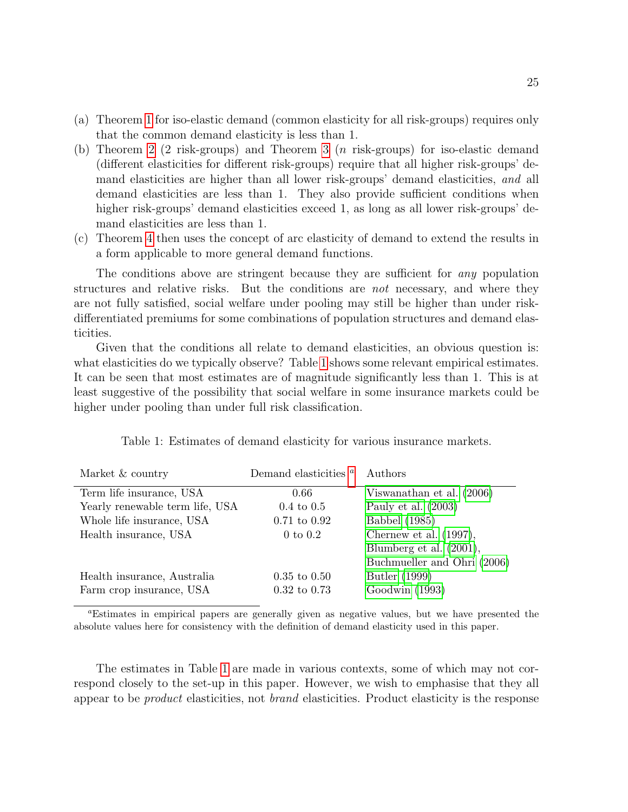- (a) Theorem 1 for iso-elastic demand (common elasticity for all risk-groups) requires only that the common demand elasticity is less than 1.
- (b) Theorem 2 (2 risk-groups) and Theorem 3 (n risk-groups) for iso-elastic demand (different elasticities for different risk-groups) require that all higher risk-groups' demand elasticities are higher than all lower risk-groups' demand elasticities, and all demand elasticities are less than 1. They also provide sufficient conditions when higher risk-groups' demand elasticities exceed 1, as long as all lower risk-groups' demand elasticities are less than 1.
- (c) Theorem 4 then uses the concept of arc elasticity of demand to extend the results in a form applicable to more general demand functions.

The conditions above are stringent because they are sufficient for *any* population structures and relative risks. But the conditions are not necessary, and where they are not fully satisfied, social welfare under pooling may still be higher than under riskdifferentiated premiums for some combinations of population structures and demand elasticities.

Given that the conditions all relate to demand elasticities, an obvious question is: what elasticities do we typically observe? Table 1 shows some relevant empirical estimates. It can be seen that most estimates are of magnitude significantly less than 1. This is at least suggestive of the possibility that social welfare in some insurance markets could be higher under pooling than under full risk classification.

| Market & country                | Demand elasticities <sup>a</sup> | Authors                     |
|---------------------------------|----------------------------------|-----------------------------|
| Term life insurance, USA        | 0.66                             | Viswanathan et al. (2006)   |
| Yearly renewable term life, USA | $0.4 \text{ to } 0.5$            | Pauly et al. $(2003)$       |
| Whole life insurance, USA       | $0.71 \text{ to } 0.92$          | Babbel (1985)               |
| Health insurance, USA           | $0$ to $0.2$                     | Chernew et al. $(1997)$ ,   |
|                                 |                                  | Blumberg et al. (2001),     |
|                                 |                                  | Buchmueller and Ohri (2006) |
| Health insurance, Australia     | $0.35 \text{ to } 0.50$          | Butler (1999)               |
| Farm crop insurance, USA        | $0.32 \text{ to } 0.73$          | Goodwin (1993)              |

Table 1: Estimates of demand elasticity for various insurance markets.

<sup>a</sup>Estimates in empirical papers are generally given as negative values, but we have presented the absolute values here for consistency with the definition of demand elasticity used in this paper.

The estimates in Table 1 are made in various contexts, some of which may not correspond closely to the set-up in this paper. However, we wish to emphasise that they all appear to be product elasticities, not brand elasticities. Product elasticity is the response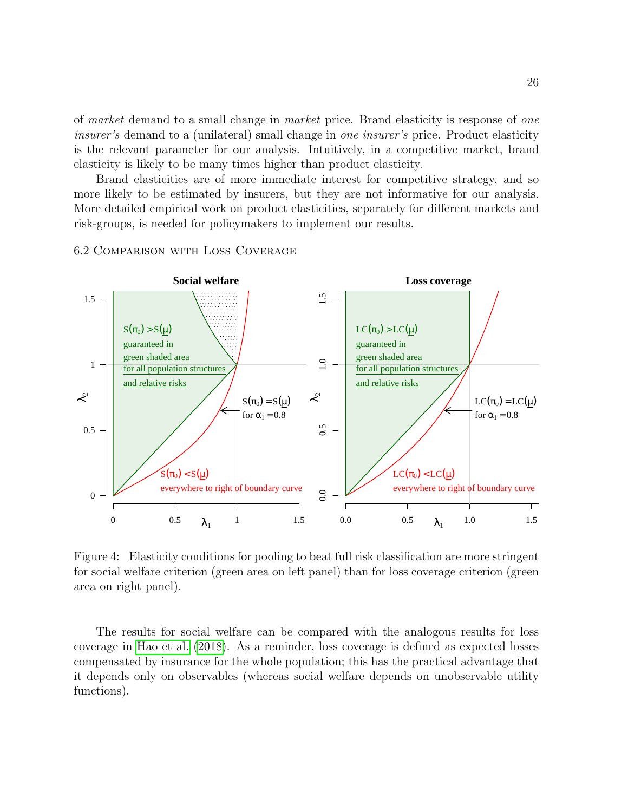of market demand to a small change in market price. Brand elasticity is response of one insurer's demand to a (unilateral) small change in one insurer's price. Product elasticity is the relevant parameter for our analysis. Intuitively, in a competitive market, brand elasticity is likely to be many times higher than product elasticity.

Brand elasticities are of more immediate interest for competitive strategy, and so more likely to be estimated by insurers, but they are not informative for our analysis. More detailed empirical work on product elasticities, separately for different markets and risk-groups, is needed for policymakers to implement our results.



#### 6.2 Comparison with Loss Coverage

Figure 4: Elasticity conditions for pooling to beat full risk classification are more stringent for social welfare criterion (green area on left panel) than for loss coverage criterion (green area on right panel).

The results for social welfare can be compared with the analogous results for loss coverage in Hao et al. (2018). As a reminder, loss coverage is defined as expected losses compensated by insurance for the whole population; this has the practical advantage that it depends only on observables (whereas social welfare depends on unobservable utility functions).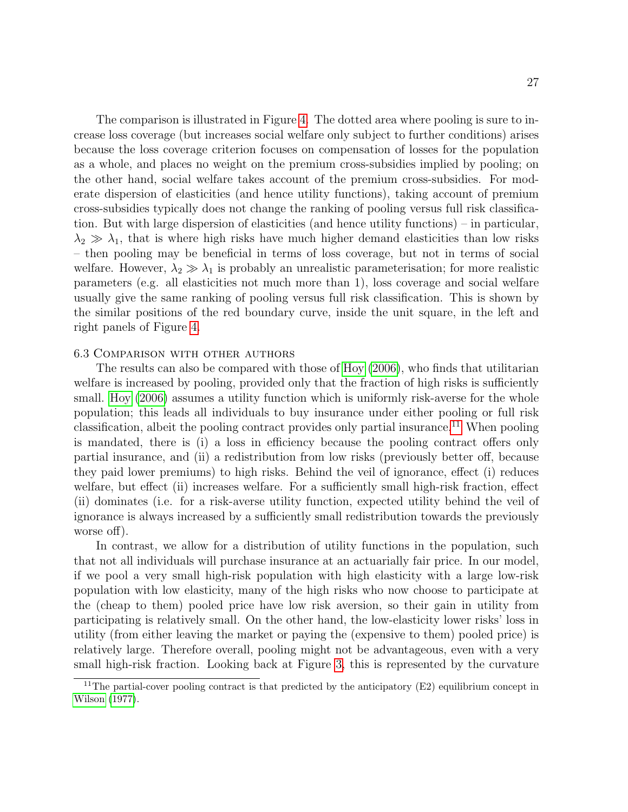The comparison is illustrated in Figure 4. The dotted area where pooling is sure to increase loss coverage (but increases social welfare only subject to further conditions) arises because the loss coverage criterion focuses on compensation of losses for the population as a whole, and places no weight on the premium cross-subsidies implied by pooling; on the other hand, social welfare takes account of the premium cross-subsidies. For moderate dispersion of elasticities (and hence utility functions), taking account of premium cross-subsidies typically does not change the ranking of pooling versus full risk classification. But with large dispersion of elasticities (and hence utility functions) – in particular,  $\lambda_2 \gg \lambda_1$ , that is where high risks have much higher demand elasticities than low risks – then pooling may be beneficial in terms of loss coverage, but not in terms of social welfare. However,  $\lambda_2 \gg \lambda_1$  is probably an unrealistic parameterisation; for more realistic parameters (e.g. all elasticities not much more than 1), loss coverage and social welfare usually give the same ranking of pooling versus full risk classification. This is shown by the similar positions of the red boundary curve, inside the unit square, in the left and right panels of Figure 4.

#### 6.3 Comparison with other authors

The results can also be compared with those of Hoy (2006), who finds that utilitarian welfare is increased by pooling, provided only that the fraction of high risks is sufficiently small. Hoy (2006) assumes a utility function which is uniformly risk-averse for the whole population; this leads all individuals to buy insurance under either pooling or full risk classification, albeit the pooling contract provides only partial insurance.11 When pooling is mandated, there is (i) a loss in efficiency because the pooling contract offers only partial insurance, and (ii) a redistribution from low risks (previously better off, because they paid lower premiums) to high risks. Behind the veil of ignorance, effect (i) reduces welfare, but effect (ii) increases welfare. For a sufficiently small high-risk fraction, effect (ii) dominates (i.e. for a risk-averse utility function, expected utility behind the veil of ignorance is always increased by a sufficiently small redistribution towards the previously worse off).

In contrast, we allow for a distribution of utility functions in the population, such that not all individuals will purchase insurance at an actuarially fair price. In our model, if we pool a very small high-risk population with high elasticity with a large low-risk population with low elasticity, many of the high risks who now choose to participate at the (cheap to them) pooled price have low risk aversion, so their gain in utility from participating is relatively small. On the other hand, the low-elasticity lower risks' loss in utility (from either leaving the market or paying the (expensive to them) pooled price) is relatively large. Therefore overall, pooling might not be advantageous, even with a very small high-risk fraction. Looking back at Figure 3, this is represented by the curvature

<sup>&</sup>lt;sup>11</sup>The partial-cover pooling contract is that predicted by the anticipatory  $(E2)$  equilibrium concept in Wilson (1977).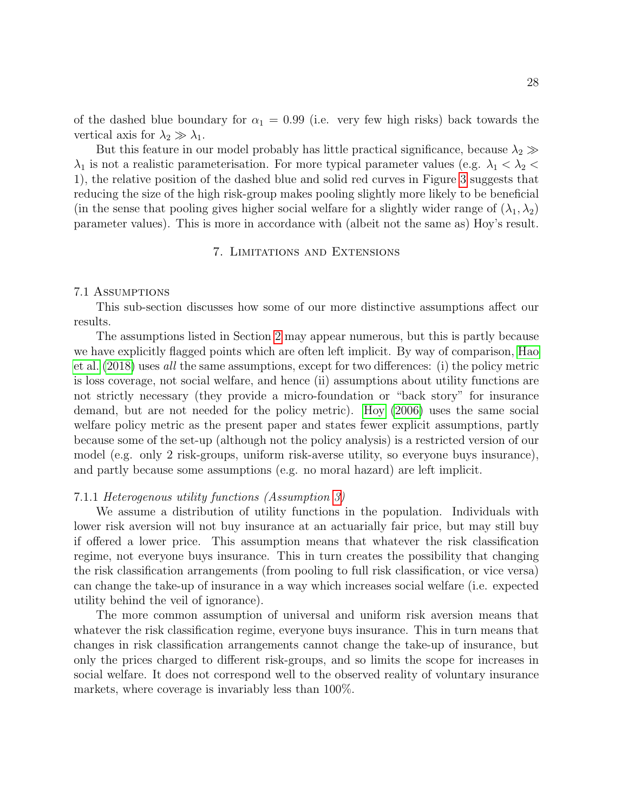of the dashed blue boundary for  $\alpha_1 = 0.99$  (i.e. very few high risks) back towards the vertical axis for  $\lambda_2 \gg \lambda_1$ .

But this feature in our model probably has little practical significance, because  $\lambda_2 \gg$  $\lambda_1$  is not a realistic parameterisation. For more typical parameter values (e.g.  $\lambda_1 < \lambda_2 <$ 1), the relative position of the dashed blue and solid red curves in Figure 3 suggests that reducing the size of the high risk-group makes pooling slightly more likely to be beneficial (in the sense that pooling gives higher social welfare for a slightly wider range of  $(\lambda_1, \lambda_2)$ ) parameter values). This is more in accordance with (albeit not the same as) Hoy's result.

#### 7. Limitations and Extensions

#### 7.1 Assumptions

This sub-section discusses how some of our more distinctive assumptions affect our results.

The assumptions listed in Section 2 may appear numerous, but this is partly because we have explicitly flagged points which are often left implicit. By way of comparison, Hao et al. (2018) uses all the same assumptions, except for two differences: (i) the policy metric is loss coverage, not social welfare, and hence (ii) assumptions about utility functions are not strictly necessary (they provide a micro-foundation or "back story" for insurance demand, but are not needed for the policy metric). Hoy (2006) uses the same social welfare policy metric as the present paper and states fewer explicit assumptions, partly because some of the set-up (although not the policy analysis) is a restricted version of our model (e.g. only 2 risk-groups, uniform risk-averse utility, so everyone buys insurance), and partly because some assumptions (e.g. no moral hazard) are left implicit.

#### 7.1.1 Heterogenous utility functions (Assumption 3)

We assume a distribution of utility functions in the population. Individuals with lower risk aversion will not buy insurance at an actuarially fair price, but may still buy if offered a lower price. This assumption means that whatever the risk classification regime, not everyone buys insurance. This in turn creates the possibility that changing the risk classification arrangements (from pooling to full risk classification, or vice versa) can change the take-up of insurance in a way which increases social welfare (i.e. expected utility behind the veil of ignorance).

The more common assumption of universal and uniform risk aversion means that whatever the risk classification regime, everyone buys insurance. This in turn means that changes in risk classification arrangements cannot change the take-up of insurance, but only the prices charged to different risk-groups, and so limits the scope for increases in social welfare. It does not correspond well to the observed reality of voluntary insurance markets, where coverage is invariably less than 100%.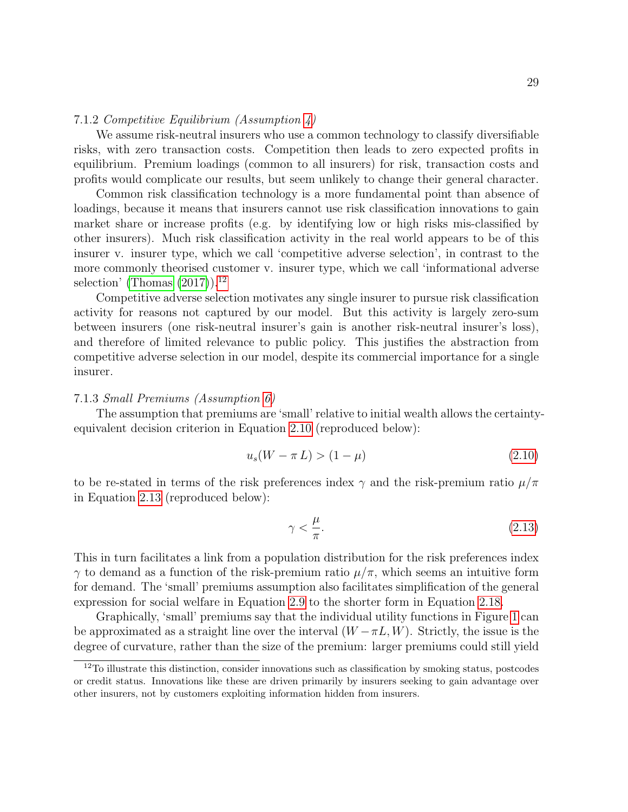#### 7.1.2 Competitive Equilibrium (Assumption 4)

We assume risk-neutral insurers who use a common technology to classify diversifiable risks, with zero transaction costs. Competition then leads to zero expected profits in equilibrium. Premium loadings (common to all insurers) for risk, transaction costs and profits would complicate our results, but seem unlikely to change their general character.

Common risk classification technology is a more fundamental point than absence of loadings, because it means that insurers cannot use risk classification innovations to gain market share or increase profits (e.g. by identifying low or high risks mis-classified by other insurers). Much risk classification activity in the real world appears to be of this insurer v. insurer type, which we call 'competitive adverse selection', in contrast to the more commonly theorised customer v. insurer type, which we call 'informational adverse selection' (Thomas  $(2017)$ ).<sup>12</sup>

Competitive adverse selection motivates any single insurer to pursue risk classification activity for reasons not captured by our model. But this activity is largely zero-sum between insurers (one risk-neutral insurer's gain is another risk-neutral insurer's loss), and therefore of limited relevance to public policy. This justifies the abstraction from competitive adverse selection in our model, despite its commercial importance for a single insurer.

#### 7.1.3 Small Premiums (Assumption 6)

The assumption that premiums are 'small' relative to initial wealth allows the certaintyequivalent decision criterion in Equation 2.10 (reproduced below):

$$
u_s(W - \pi L) > (1 - \mu) \tag{2.10}
$$

to be re-stated in terms of the risk preferences index  $\gamma$  and the risk-premium ratio  $\mu/\pi$ in Equation 2.13 (reproduced below):

$$
\gamma < \frac{\mu}{\pi}.\tag{2.13}
$$

This in turn facilitates a link from a population distribution for the risk preferences index γ to demand as a function of the risk-premium ratio µ/π, which seems an intuitive form for demand. The 'small' premiums assumption also facilitates simplification of the general expression for social welfare in Equation 2.9 to the shorter form in Equation 2.18.

Graphically, 'small' premiums say that the individual utility functions in Figure 1 can be approximated as a straight line over the interval  $(W - \pi L, W)$ . Strictly, the issue is the degree of curvature, rather than the size of the premium: larger premiums could still yield

<sup>&</sup>lt;sup>12</sup>To illustrate this distinction, consider innovations such as classification by smoking status, postcodes or credit status. Innovations like these are driven primarily by insurers seeking to gain advantage over other insurers, not by customers exploiting information hidden from insurers.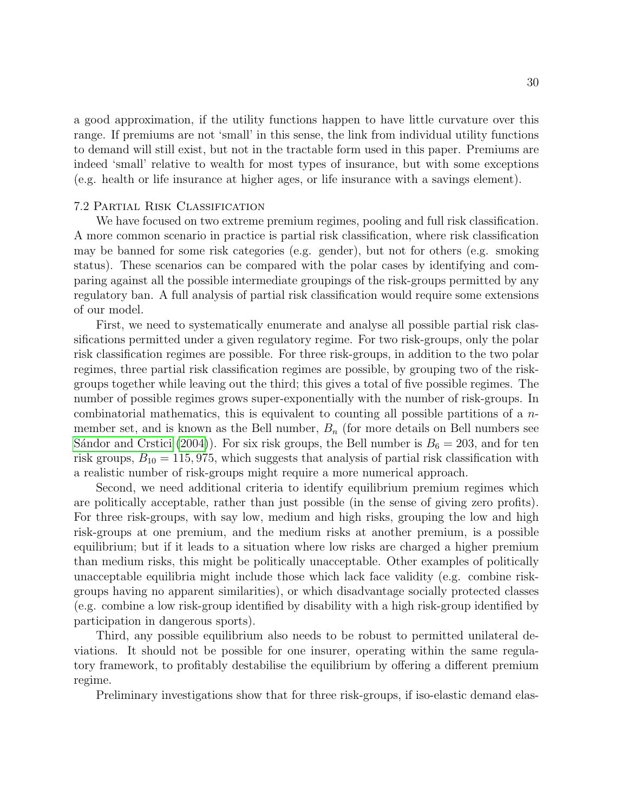a good approximation, if the utility functions happen to have little curvature over this range. If premiums are not 'small' in this sense, the link from individual utility functions to demand will still exist, but not in the tractable form used in this paper. Premiums are indeed 'small' relative to wealth for most types of insurance, but with some exceptions (e.g. health or life insurance at higher ages, or life insurance with a savings element).

#### 7.2 Partial Risk Classification

We have focused on two extreme premium regimes, pooling and full risk classification. A more common scenario in practice is partial risk classification, where risk classification may be banned for some risk categories (e.g. gender), but not for others (e.g. smoking status). These scenarios can be compared with the polar cases by identifying and comparing against all the possible intermediate groupings of the risk-groups permitted by any regulatory ban. A full analysis of partial risk classification would require some extensions of our model.

First, we need to systematically enumerate and analyse all possible partial risk classifications permitted under a given regulatory regime. For two risk-groups, only the polar risk classification regimes are possible. For three risk-groups, in addition to the two polar regimes, three partial risk classification regimes are possible, by grouping two of the riskgroups together while leaving out the third; this gives a total of five possible regimes. The number of possible regimes grows super-exponentially with the number of risk-groups. In combinatorial mathematics, this is equivalent to counting all possible partitions of a nmember set, and is known as the Bell number,  $B_n$  (for more details on Bell numbers see Sándor and Crstici (2004)). For six risk groups, the Bell number is  $B_6 = 203$ , and for ten risk groups,  $B_{10} = 115,975$ , which suggests that analysis of partial risk classification with a realistic number of risk-groups might require a more numerical approach.

Second, we need additional criteria to identify equilibrium premium regimes which are politically acceptable, rather than just possible (in the sense of giving zero profits). For three risk-groups, with say low, medium and high risks, grouping the low and high risk-groups at one premium, and the medium risks at another premium, is a possible equilibrium; but if it leads to a situation where low risks are charged a higher premium than medium risks, this might be politically unacceptable. Other examples of politically unacceptable equilibria might include those which lack face validity (e.g. combine riskgroups having no apparent similarities), or which disadvantage socially protected classes (e.g. combine a low risk-group identified by disability with a high risk-group identified by participation in dangerous sports).

Third, any possible equilibrium also needs to be robust to permitted unilateral deviations. It should not be possible for one insurer, operating within the same regulatory framework, to profitably destabilise the equilibrium by offering a different premium regime.

Preliminary investigations show that for three risk-groups, if iso-elastic demand elas-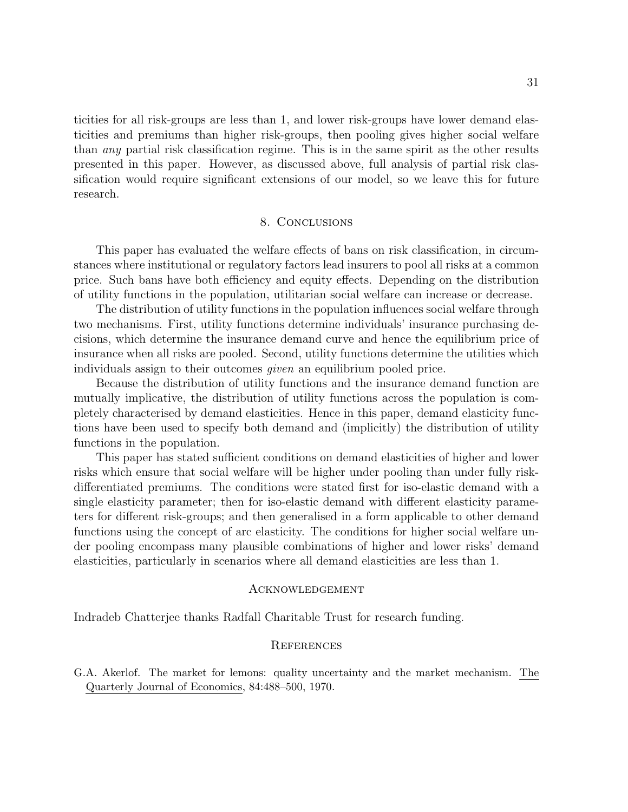ticities for all risk-groups are less than 1, and lower risk-groups have lower demand elasticities and premiums than higher risk-groups, then pooling gives higher social welfare than any partial risk classification regime. This is in the same spirit as the other results presented in this paper. However, as discussed above, full analysis of partial risk classification would require significant extensions of our model, so we leave this for future research.

#### 8. Conclusions

This paper has evaluated the welfare effects of bans on risk classification, in circumstances where institutional or regulatory factors lead insurers to pool all risks at a common price. Such bans have both efficiency and equity effects. Depending on the distribution of utility functions in the population, utilitarian social welfare can increase or decrease.

The distribution of utility functions in the population influences social welfare through two mechanisms. First, utility functions determine individuals' insurance purchasing decisions, which determine the insurance demand curve and hence the equilibrium price of insurance when all risks are pooled. Second, utility functions determine the utilities which individuals assign to their outcomes given an equilibrium pooled price.

Because the distribution of utility functions and the insurance demand function are mutually implicative, the distribution of utility functions across the population is completely characterised by demand elasticities. Hence in this paper, demand elasticity functions have been used to specify both demand and (implicitly) the distribution of utility functions in the population.

This paper has stated sufficient conditions on demand elasticities of higher and lower risks which ensure that social welfare will be higher under pooling than under fully riskdifferentiated premiums. The conditions were stated first for iso-elastic demand with a single elasticity parameter; then for iso-elastic demand with different elasticity parameters for different risk-groups; and then generalised in a form applicable to other demand functions using the concept of arc elasticity. The conditions for higher social welfare under pooling encompass many plausible combinations of higher and lower risks' demand elasticities, particularly in scenarios where all demand elasticities are less than 1.

#### **ACKNOWLEDGEMENT**

Indradeb Chatterjee thanks Radfall Charitable Trust for research funding.

#### **REFERENCES**

G.A. Akerlof. The market for lemons: quality uncertainty and the market mechanism. The Quarterly Journal of Economics, 84:488–500, 1970.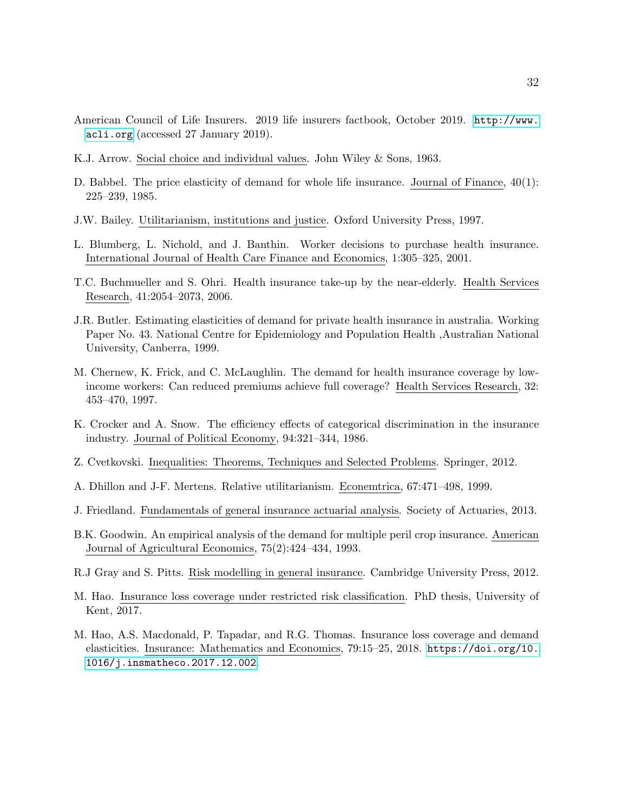- American Council of Life Insurers. 2019 life insurers factbook, October 2019. [http://www.](http://www.acli.org) [acli.org](http://www.acli.org) (accessed 27 January 2019).
- K.J. Arrow. Social choice and individual values. John Wiley & Sons, 1963.
- D. Babbel. The price elasticity of demand for whole life insurance. Journal of Finance, 40(1): 225–239, 1985.
- J.W. Bailey. Utilitarianism, institutions and justice. Oxford University Press, 1997.
- L. Blumberg, L. Nichold, and J. Banthin. Worker decisions to purchase health insurance. International Journal of Health Care Finance and Economics, 1:305–325, 2001.
- T.C. Buchmueller and S. Ohri. Health insurance take-up by the near-elderly. Health Services Research, 41:2054–2073, 2006.
- J.R. Butler. Estimating elasticities of demand for private health insurance in australia. Working Paper No. 43. National Centre for Epidemiology and Population Health ,Australian National University, Canberra, 1999.
- M. Chernew, K. Frick, and C. McLaughlin. The demand for health insurance coverage by lowincome workers: Can reduced premiums achieve full coverage? Health Services Research, 32: 453–470, 1997.
- K. Crocker and A. Snow. The efficiency effects of categorical discrimination in the insurance industry. Journal of Political Economy, 94:321–344, 1986.
- Z. Cvetkovski. Inequalities: Theorems, Techniques and Selected Problems. Springer, 2012.
- A. Dhillon and J-F. Mertens. Relative utilitarianism. Econemtrica, 67:471–498, 1999.
- J. Friedland. Fundamentals of general insurance actuarial analysis. Society of Actuaries, 2013.
- B.K. Goodwin. An empirical analysis of the demand for multiple peril crop insurance. American Journal of Agricultural Economics, 75(2):424–434, 1993.
- R.J Gray and S. Pitts. Risk modelling in general insurance. Cambridge University Press, 2012.
- M. Hao. Insurance loss coverage under restricted risk classification. PhD thesis, University of Kent, 2017.
- M. Hao, A.S. Macdonald, P. Tapadar, and R.G. Thomas. Insurance loss coverage and demand elasticities. Insurance: Mathematics and Economics, 79:15–25, 2018. [https://doi.org/10.](https://doi.org/10.1016/j.insmatheco.2017.12.002) [1016/j.insmatheco.2017.12.002](https://doi.org/10.1016/j.insmatheco.2017.12.002).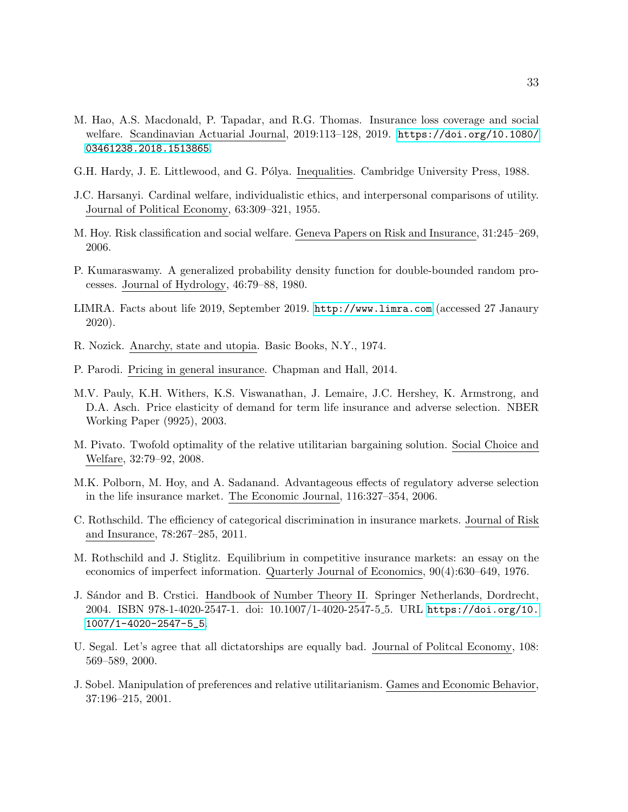- M. Hao, A.S. Macdonald, P. Tapadar, and R.G. Thomas. Insurance loss coverage and social welfare. Scandinavian Actuarial Journal, 2019:113–128, 2019. [https://doi.org/10.1080/](https://doi.org/10.1080/03461238.2018.1513865) [03461238.2018.1513865](https://doi.org/10.1080/03461238.2018.1513865).
- G.H. Hardy, J. E. Littlewood, and G. Pólya. Inequalities. Cambridge University Press, 1988.
- J.C. Harsanyi. Cardinal welfare, individualistic ethics, and interpersonal comparisons of utility. Journal of Political Economy, 63:309–321, 1955.
- M. Hoy. Risk classification and social welfare. Geneva Papers on Risk and Insurance, 31:245–269, 2006.
- P. Kumaraswamy. A generalized probability density function for double-bounded random processes. Journal of Hydrology, 46:79–88, 1980.
- LIMRA. Facts about life 2019, September 2019. <http://www.limra.com> (accessed 27 Janaury 2020).
- R. Nozick. Anarchy, state and utopia. Basic Books, N.Y., 1974.
- P. Parodi. Pricing in general insurance. Chapman and Hall, 2014.
- M.V. Pauly, K.H. Withers, K.S. Viswanathan, J. Lemaire, J.C. Hershey, K. Armstrong, and D.A. Asch. Price elasticity of demand for term life insurance and adverse selection. NBER Working Paper (9925), 2003.
- M. Pivato. Twofold optimality of the relative utilitarian bargaining solution. Social Choice and Welfare, 32:79–92, 2008.
- M.K. Polborn, M. Hoy, and A. Sadanand. Advantageous effects of regulatory adverse selection in the life insurance market. The Economic Journal, 116:327–354, 2006.
- C. Rothschild. The efficiency of categorical discrimination in insurance markets. Journal of Risk and Insurance, 78:267–285, 2011.
- M. Rothschild and J. Stiglitz. Equilibrium in competitive insurance markets: an essay on the economics of imperfect information. Quarterly Journal of Economics, 90(4):630–649, 1976.
- J. Sándor and B. Crstici. Handbook of Number Theory II. Springer Netherlands, Dordrecht, 2004. ISBN 978-1-4020-2547-1. doi: 10.1007/1-4020-2547-5 5. URL [https://doi.org/10.](https://doi.org/10.1007/1-4020-2547-5_5) [1007/1-4020-2547-5\\_5](https://doi.org/10.1007/1-4020-2547-5_5).
- U. Segal. Let's agree that all dictatorships are equally bad. Journal of Politcal Economy, 108: 569–589, 2000.
- J. Sobel. Manipulation of preferences and relative utilitarianism. Games and Economic Behavior, 37:196–215, 2001.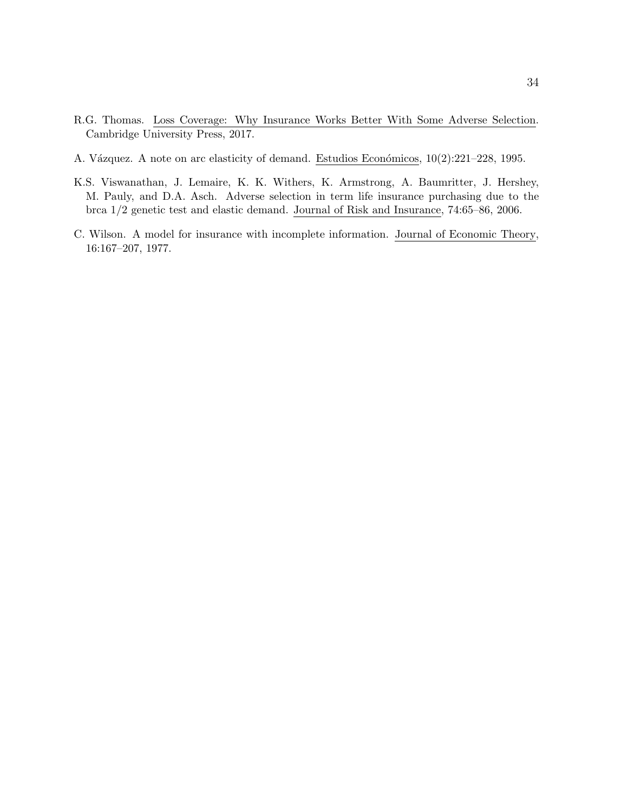- R.G. Thomas. Loss Coverage: Why Insurance Works Better With Some Adverse Selection. Cambridge University Press, 2017.
- A. Vázquez. A note on arc elasticity of demand. Estudios Económicos, 10(2):221–228, 1995.
- K.S. Viswanathan, J. Lemaire, K. K. Withers, K. Armstrong, A. Baumritter, J. Hershey, M. Pauly, and D.A. Asch. Adverse selection in term life insurance purchasing due to the brca 1/2 genetic test and elastic demand. Journal of Risk and Insurance, 74:65–86, 2006.
- C. Wilson. A model for insurance with incomplete information. Journal of Economic Theory, 16:167–207, 1977.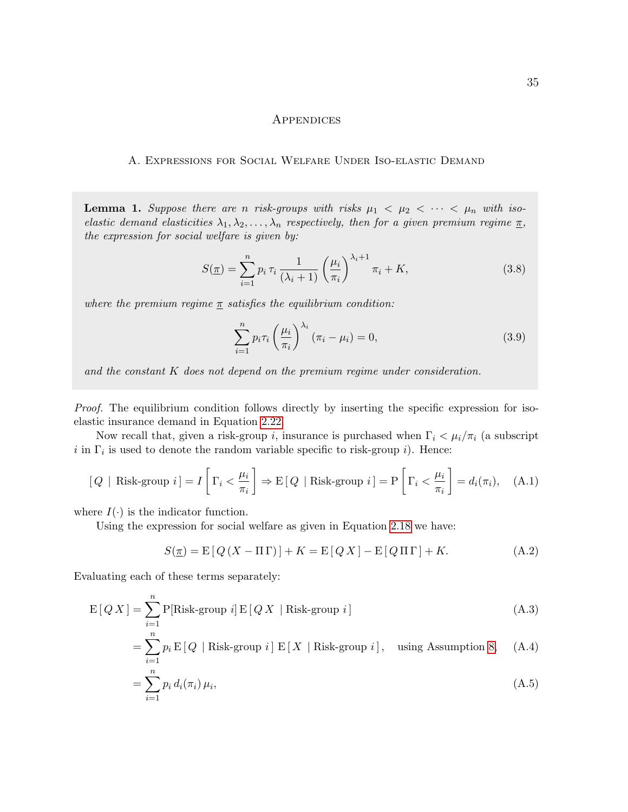#### **APPENDICES**

#### A. Expressions for Social Welfare Under Iso-elastic Demand

**Lemma 1.** Suppose there are n risk-groups with risks  $\mu_1 < \mu_2 < \cdots < \mu_n$  with isoelastic demand elasticities  $\lambda_1, \lambda_2, \ldots, \lambda_n$  respectively, then for a given premium regime  $\underline{\pi}$ , the expression for social welfare is given by:

$$
S(\underline{\pi}) = \sum_{i=1}^{n} p_i \,\tau_i \,\frac{1}{(\lambda_i+1)} \left(\frac{\mu_i}{\pi_i}\right)^{\lambda_i+1} \pi_i + K,\tag{3.8}
$$

where the premium regime  $\pi$  satisfies the equilibrium condition:

$$
\sum_{i=1}^{n} p_i \tau_i \left(\frac{\mu_i}{\pi_i}\right)^{\lambda_i} \left(\pi_i - \mu_i\right) = 0,\tag{3.9}
$$

and the constant K does not depend on the premium regime under consideration.

Proof. The equilibrium condition follows directly by inserting the specific expression for isoelastic insurance demand in Equation 2.22.

Now recall that, given a risk-group i, insurance is purchased when  $\Gamma_i < \mu_i/\pi_i$  (a subscript i in  $\Gamma_i$  is used to denote the random variable specific to risk-group i). Hence:

$$
[Q \mid \text{Risk-group } i] = I \left[ \Gamma_i < \frac{\mu_i}{\pi_i} \right] \Rightarrow E \left[ Q \mid \text{Risk-group } i \right] = P \left[ \Gamma_i < \frac{\mu_i}{\pi_i} \right] = d_i(\pi_i), \quad \text{(A.1)}
$$

where  $I(\cdot)$  is the indicator function.

Using the expression for social welfare as given in Equation 2.18 we have:

$$
S(\underline{\pi}) = \mathbb{E}\left[Q\left(X - \Pi\Gamma\right)\right] + K = \mathbb{E}\left[QX\right] - \mathbb{E}\left[Q\Pi\Gamma\right] + K. \tag{A.2}
$$

Evaluating each of these terms separately:

$$
E[Q X] = \sum_{i=1}^{n} P[Risk-group i] E[Q X | Risk-group i]
$$
\n(A.3)

$$
= \sum_{i=1}^{n} p_i \, \mathrm{E}\left[Q \mid \text{Risk-group } i\right] \, \mathrm{E}\left[X \mid \text{Risk-group } i\right], \quad \text{using Assumption 8}, \quad \text{(A.4)}
$$

$$
= \sum_{i=1}^{n} p_i d_i(\pi_i) \mu_i,
$$
\n(A.5)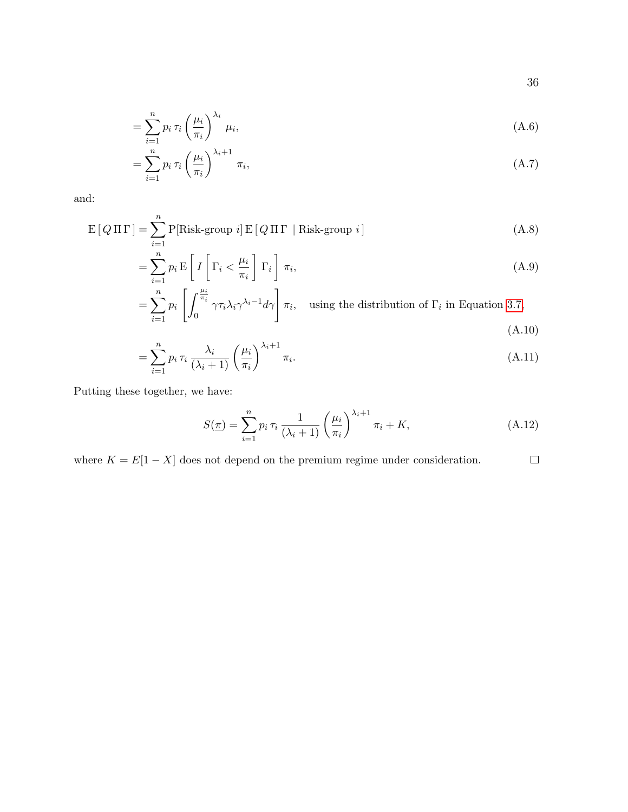$$
=\sum_{i=1}^{n}p_{i}\,\tau_{i}\left(\frac{\mu_{i}}{\pi_{i}}\right)^{\lambda_{i}}\,\mu_{i},\tag{A.6}
$$

$$
=\sum_{i=1}^{n}p_i\,\tau_i\left(\frac{\mu_i}{\pi_i}\right)^{\lambda_i+1}\,\pi_i,\tag{A.7}
$$

and:

$$
E[Q\Pi\Gamma] = \sum_{i=1}^{n} P[Risk-group\ i] E[Q\Pi\Gamma | Risk-group\ i]
$$
\n(A.8)

$$
= \sum_{i=1}^{n} p_i \mathbf{E} \left[ I \left[ \Gamma_i < \frac{\mu_i}{\pi_i} \right] \Gamma_i \right] \pi_i,\tag{A.9}
$$

$$
= \sum_{i=1}^{n} p_i \left[ \int_0^{\frac{\mu_i}{\pi_i}} \gamma \tau_i \lambda_i \gamma^{\lambda_i - 1} d\gamma \right] \pi_i, \text{ using the distribution of } \Gamma_i \text{ in Equation 3.7,}
$$
\n(A.10)

$$
= \sum_{i=1}^{n} p_i \,\tau_i \,\frac{\lambda_i}{(\lambda_i+1)} \left(\frac{\mu_i}{\pi_i}\right)^{\lambda_i+1} \pi_i. \tag{A.11}
$$

Putting these together, we have:

$$
S(\underline{\pi}) = \sum_{i=1}^{n} p_i \,\tau_i \,\frac{1}{(\lambda_i+1)} \left(\frac{\mu_i}{\pi_i}\right)^{\lambda_i+1} \pi_i + K,\tag{A.12}
$$

where  $K = E[1 - X]$  does not depend on the premium regime under consideration.  $\Box$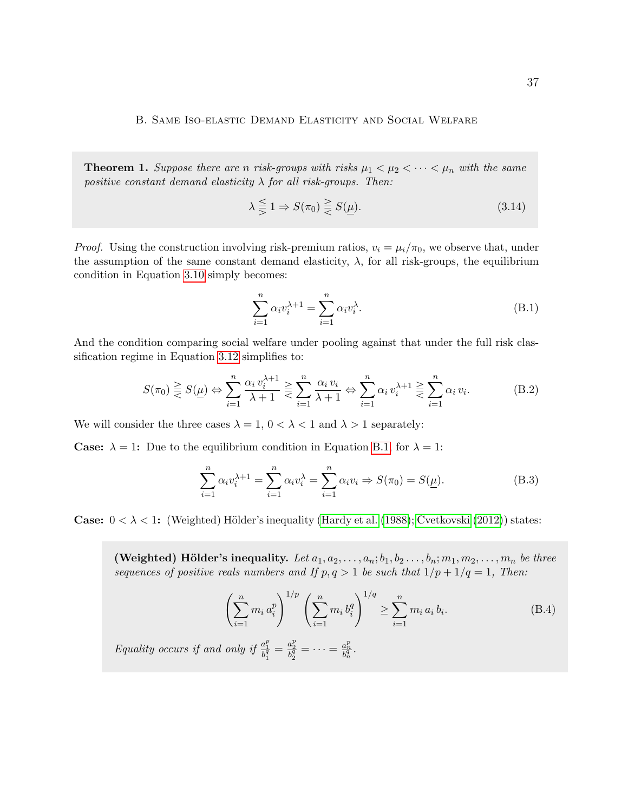**Theorem 1.** Suppose there are n risk-groups with risks  $\mu_1 < \mu_2 < \cdots < \mu_n$  with the same positive constant demand elasticity  $\lambda$  for all risk-groups. Then:

$$
\lambda \leq 1 \Rightarrow S(\pi_0) \geq S(\underline{\mu}).\tag{3.14}
$$

*Proof.* Using the construction involving risk-premium ratios,  $v_i = \mu_i/\pi_0$ , we observe that, under the assumption of the same constant demand elasticity,  $\lambda$ , for all risk-groups, the equilibrium condition in Equation 3.10 simply becomes:

$$
\sum_{i=1}^{n} \alpha_i v_i^{\lambda+1} = \sum_{i=1}^{n} \alpha_i v_i^{\lambda}.
$$
 (B.1)

And the condition comparing social welfare under pooling against that under the full risk classification regime in Equation 3.12 simplifies to:

$$
S(\pi_0) \geq S(\underline{\mu}) \Leftrightarrow \sum_{i=1}^n \frac{\alpha_i v_i^{\lambda+1}}{\lambda+1} \geq \sum_{i=1}^n \frac{\alpha_i v_i}{\lambda+1} \Leftrightarrow \sum_{i=1}^n \alpha_i v_i^{\lambda+1} \geq \sum_{i=1}^n \alpha_i v_i.
$$
 (B.2)

We will consider the three cases  $\lambda = 1, 0 < \lambda < 1$  and  $\lambda > 1$  separately:

**Case:**  $\lambda = 1$ : Due to the equilibrium condition in Equation B.1, for  $\lambda = 1$ :

$$
\sum_{i=1}^{n} \alpha_i v_i^{\lambda+1} = \sum_{i=1}^{n} \alpha_i v_i^{\lambda} = \sum_{i=1}^{n} \alpha_i v_i \Rightarrow S(\pi_0) = S(\underline{\mu}).
$$
\n(B.3)

**Case:**  $0 < \lambda < 1$ : (Weighted) Hölder's inequality (Hardy et al. (1988); Cvetkovski (2012)) states:

(Weighted) Hölder's inequality. Let  $a_1, a_2, \ldots, a_n; b_1, b_2 \ldots, b_n; m_1, m_2, \ldots, m_n$  be three sequences of positive reals numbers and If  $p, q > 1$  be such that  $1/p + 1/q = 1$ , Then:

$$
\left(\sum_{i=1}^{n} m_i a_i^p\right)^{1/p} \left(\sum_{i=1}^{n} m_i b_i^q\right)^{1/q} \ge \sum_{i=1}^{n} m_i a_i b_i.
$$
 (B.4)

Equality occurs if and only if  $\frac{a_1^p}{b_1^q} = \frac{a_2^p}{b_2^q} = \cdots = \frac{a_n^p}{b_n^q}$ .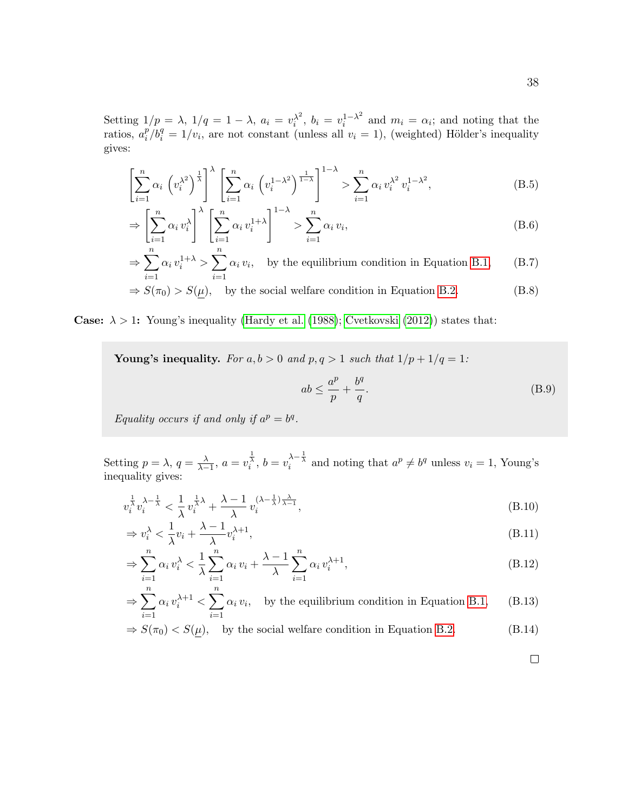Setting  $1/p = \lambda$ ,  $1/q = 1 - \lambda$ ,  $a_i = v_i^{\lambda^2}$  $\lambda_i^2$ ,  $b_i = v_i^{1-\lambda^2}$  $i^{1-\lambda^2}$  and  $m_i = \alpha_i$ ; and noting that the ratios,  $a_i^p$  $\frac{p}{i}/b_i^q = 1/v_i$ , are not constant (unless all  $v_i = 1$ ), (weighted) Hölder's inequality gives:

$$
\left[\sum_{i=1}^{n} \alpha_i \left(v_i^{\lambda^2}\right)^{\frac{1}{\lambda}}\right]^{\lambda} \left[\sum_{i=1}^{n} \alpha_i \left(v_i^{1-\lambda^2}\right)^{\frac{1}{1-\lambda}}\right]^{1-\lambda} > \sum_{i=1}^{n} \alpha_i v_i^{\lambda^2} v_i^{1-\lambda^2},\tag{B.5}
$$

$$
\Rightarrow \left[\sum_{i=1}^{n} \alpha_i v_i^{\lambda}\right]^{\lambda} \left[\sum_{i=1}^{n} \alpha_i v_i^{1+\lambda}\right]^{1-\lambda} > \sum_{i=1}^{n} \alpha_i v_i,
$$
\n(B.6)

$$
\Rightarrow \sum_{i=1}^{n} \alpha_i v_i^{1+\lambda} > \sum_{i=1}^{n} \alpha_i v_i, \text{ by the equilibrium condition in Equation B.1,} \qquad (B.7)
$$

$$
\Rightarrow S(\pi_0) > S(\underline{\mu}), \quad \text{by the social welfare condition in Equation B.2.} \tag{B.8}
$$

#### **Case:**  $\lambda > 1$ : Young's inequality (Hardy et al. (1988); Cvetkovski (2012)) states that:

Young's inequality. For  $a, b > 0$  and  $p, q > 1$  such that  $1/p + 1/q = 1$ :

$$
ab \le \frac{a^p}{p} + \frac{b^q}{q}.\tag{B.9}
$$

Equality occurs if and only if  $a^p = b^q$ .

Setting  $p = \lambda$ ,  $q = \frac{\lambda}{\lambda - 1}$ ,  $a = v_i^{\frac{1}{\lambda}}$ ,  $b = v_i^{\lambda - \frac{1}{\lambda}}$  and noting that  $a^p \neq b^q$  unless  $v_i = 1$ , Young's inequality gives:

$$
v_i^{\frac{1}{\lambda}} v_i^{\lambda - \frac{1}{\lambda}} < \frac{1}{\lambda} v_i^{\frac{1}{\lambda}\lambda} + \frac{\lambda - 1}{\lambda} v_i^{(\lambda - \frac{1}{\lambda})\frac{\lambda}{\lambda - 1}},
$$
\n(B.10)

$$
\Rightarrow v_i^{\lambda} < \frac{1}{\lambda} v_i + \frac{\lambda - 1}{\lambda} v_i^{\lambda + 1},\tag{B.11}
$$

$$
\Rightarrow \sum_{i=1}^{n} \alpha_i v_i^{\lambda} < \frac{1}{\lambda} \sum_{i=1}^{n} \alpha_i v_i + \frac{\lambda - 1}{\lambda} \sum_{i=1}^{n} \alpha_i v_i^{\lambda + 1},\tag{B.12}
$$

$$
\Rightarrow \sum_{i=1}^{n} \alpha_i v_i^{\lambda+1} < \sum_{i=1}^{n} \alpha_i v_i, \quad \text{by the equilibrium condition in Equation B.1,} \tag{B.13}
$$

$$
\Rightarrow S(\pi_0) < S(\underline{\mu}), \quad \text{by the social welfare condition in Equation B.2.} \tag{B.14}
$$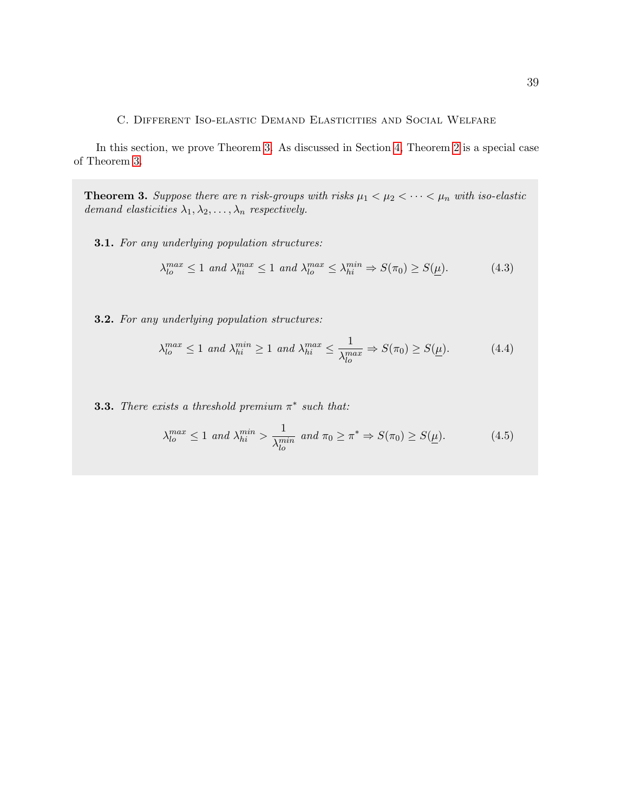C. Different Iso-elastic Demand Elasticities and Social Welfare

In this section, we prove Theorem 3. As discussed in Section 4, Theorem 2 is a special case of Theorem 3.

**Theorem 3.** Suppose there are n risk-groups with risks  $\mu_1 < \mu_2 < \cdots < \mu_n$  with iso-elastic demand elasticities  $\lambda_1, \lambda_2, \ldots, \lambda_n$  respectively.

3.1. For any underlying population structures:

$$
\lambda_{lo}^{max} \le 1 \text{ and } \lambda_{hi}^{max} \le 1 \text{ and } \lambda_{lo}^{max} \le \lambda_{hi}^{min} \Rightarrow S(\pi_0) \ge S(\underline{\mu}). \tag{4.3}
$$

3.2. For any underlying population structures:

$$
\lambda_{lo}^{max} \le 1 \text{ and } \lambda_{hi}^{min} \ge 1 \text{ and } \lambda_{hi}^{max} \le \frac{1}{\lambda_{lo}^{max}} \Rightarrow S(\pi_0) \ge S(\underline{\mu}). \tag{4.4}
$$

**3.3.** There exists a threshold premium  $\pi^*$  such that:

$$
\lambda_{lo}^{max} \le 1 \text{ and } \lambda_{hi}^{min} > \frac{1}{\lambda_{lo}^{min}} \text{ and } \pi_0 \ge \pi^* \Rightarrow S(\pi_0) \ge S(\underline{\mu}). \tag{4.5}
$$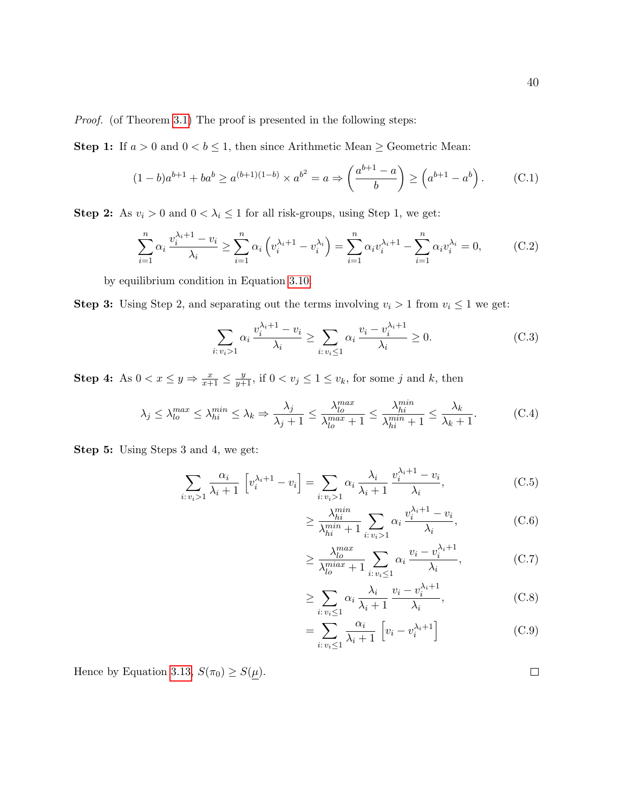Proof. (of Theorem 3.1) The proof is presented in the following steps:

**Step 1:** If  $a > 0$  and  $0 < b \le 1$ , then since Arithmetic Mean  $\ge$  Geometric Mean:

$$
(1-b)a^{b+1} + ba^b \ge a^{(b+1)(1-b)} \times a^{b^2} = a \Rightarrow \left(\frac{a^{b+1} - a}{b}\right) \ge \left(a^{b+1} - a^b\right). \tag{C.1}
$$

**Step 2:** As  $v_i > 0$  and  $0 < \lambda_i \leq 1$  for all risk-groups, using Step 1, we get:

$$
\sum_{i=1}^{n} \alpha_i \frac{v_i^{\lambda_i+1} - v_i}{\lambda_i} \ge \sum_{i=1}^{n} \alpha_i \left( v_i^{\lambda_i+1} - v_i^{\lambda_i} \right) = \sum_{i=1}^{n} \alpha_i v_i^{\lambda_i+1} - \sum_{i=1}^{n} \alpha_i v_i^{\lambda_i} = 0,
$$
 (C.2)

by equilibrium condition in Equation 3.10.

**Step 3:** Using Step 2, and separating out the terms involving  $v_i > 1$  from  $v_i \leq 1$  we get:

$$
\sum_{i:\,v_i>1} \alpha_i \, \frac{v_i^{\lambda_i+1} - v_i}{\lambda_i} \ge \sum_{i:\,v_i \le 1} \alpha_i \, \frac{v_i - v_i^{\lambda_i+1}}{\lambda_i} \ge 0. \tag{C.3}
$$

**Step 4:** As  $0 < x \leq y \Rightarrow \frac{x}{x+1} \leq \frac{y}{y+1}$ , if  $0 < v_j \leq 1 \leq v_k$ , for some j and k, then

$$
\lambda_j \le \lambda_{lo}^{max} \le \lambda_{hi}^{min} \le \lambda_k \Rightarrow \frac{\lambda_j}{\lambda_j + 1} \le \frac{\lambda_{lo}^{max}}{\lambda_{lo}^{max} + 1} \le \frac{\lambda_{hi}^{min}}{\lambda_{hi}^{min} + 1} \le \frac{\lambda_k}{\lambda_k + 1}.
$$
 (C.4)

Step 5: Using Steps 3 and 4, we get:

$$
\sum_{i:\,v_i>1} \frac{\alpha_i}{\lambda_i+1} \left[ v_i^{\lambda_i+1} - v_i \right] = \sum_{i:\,v_i>1} \alpha_i \frac{\lambda_i}{\lambda_i+1} \frac{v_i^{\lambda_i+1} - v_i}{\lambda_i},\tag{C.5}
$$

$$
\geq \frac{\lambda_{hi}^{min}}{\lambda_{hi}^{min} + 1} \sum_{i: v_i > 1} \alpha_i \frac{v_i^{\lambda_i + 1} - v_i}{\lambda_i},
$$
 (C.6)

$$
\geq \frac{\lambda_{lo}^{max}}{\lambda_{lo}^{min} + 1} \sum_{i: v_i \leq 1} \alpha_i \frac{v_i - v_i^{\lambda_i + 1}}{\lambda_i},
$$
 (C.7)

$$
\geq \sum_{i:\,v_i \leq 1} \alpha_i \frac{\lambda_i}{\lambda_i + 1} \frac{v_i - v_i^{\lambda_i + 1}}{\lambda_i},\tag{C.8}
$$

$$
= \sum_{i:\,v_i \le 1} \frac{\alpha_i}{\lambda_i + 1} \left[ v_i - v_i^{\lambda_i + 1} \right] \tag{C.9}
$$

Hence by Equation 3.13,  $S(\pi_0) \geq S(\underline{\mu}).$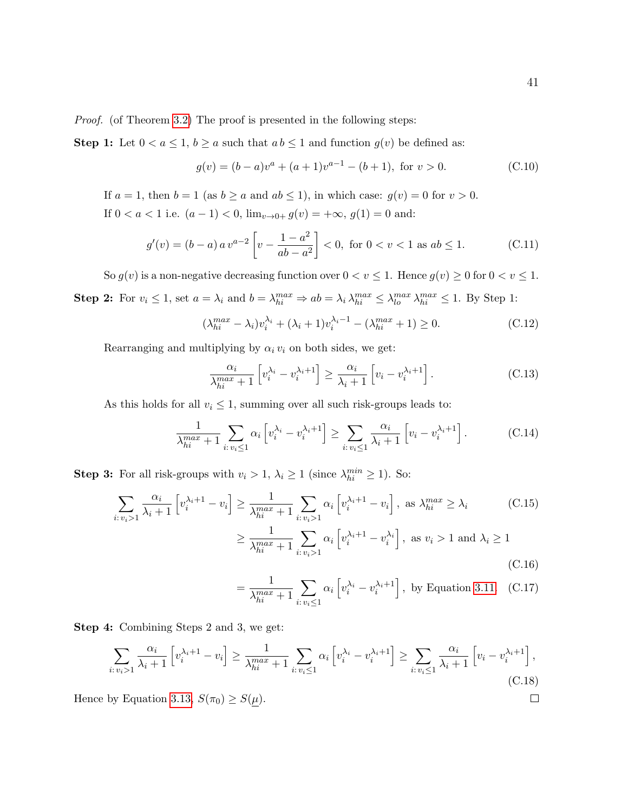Proof. (of Theorem 3.2) The proof is presented in the following steps:

**Step 1:** Let  $0 < a \leq 1$ ,  $b \geq a$  such that  $ab \leq 1$  and function  $g(v)$  be defined as:

$$
g(v) = (b - a)va + (a + 1)va-1 - (b + 1), \text{ for } v > 0.
$$
 (C.10)

If  $a = 1$ , then  $b = 1$  (as  $b \ge a$  and  $ab \le 1$ ), in which case:  $g(v) = 0$  for  $v > 0$ . If  $0 < a < 1$  i.e.  $(a - 1) < 0$ ,  $\lim_{v \to 0+} g(v) = +\infty$ ,  $g(1) = 0$  and:

$$
g'(v) = (b - a) a v^{a-2} \left[ v - \frac{1 - a^2}{ab - a^2} \right] < 0, \text{ for } 0 < v < 1 \text{ as } ab \le 1.
$$
 (C.11)

So  $g(v)$  is a non-negative decreasing function over  $0 < v \le 1$ . Hence  $g(v) \ge 0$  for  $0 < v \le 1$ .

**Step 2:** For  $v_i \leq 1$ , set  $a = \lambda_i$  and  $b = \lambda_{hi}^{max} \Rightarrow ab = \lambda_i \lambda_{hi}^{max} \leq \lambda_{lo}^{max} \lambda_{hi}^{max} \leq 1$ . By Step 1:

$$
(\lambda_{hi}^{max} - \lambda_i)v_i^{\lambda_i} + (\lambda_i + 1)v_i^{\lambda_i - 1} - (\lambda_{hi}^{max} + 1) \ge 0.
$$
 (C.12)

Rearranging and multiplying by  $\alpha_i v_i$  on both sides, we get:

$$
\frac{\alpha_i}{\lambda_{hi}^{max} + 1} \left[ v_i^{\lambda_i} - v_i^{\lambda_i + 1} \right] \ge \frac{\alpha_i}{\lambda_i + 1} \left[ v_i - v_i^{\lambda_i + 1} \right]. \tag{C.13}
$$

As this holds for all  $v_i \leq 1$ , summing over all such risk-groups leads to:

$$
\frac{1}{\lambda_{hi}^{max} + 1} \sum_{i: v_i \le 1} \alpha_i \left[ v_i^{\lambda_i} - v_i^{\lambda_i + 1} \right] \ge \sum_{i: v_i \le 1} \frac{\alpha_i}{\lambda_i + 1} \left[ v_i - v_i^{\lambda_i + 1} \right]. \tag{C.14}
$$

**Step 3:** For all risk-groups with  $v_i > 1$ ,  $\lambda_i \ge 1$  (since  $\lambda_{hi}^{min} \ge 1$ ). So:

$$
\sum_{i:\,v_i>1} \frac{\alpha_i}{\lambda_i+1} \left[ v_i^{\lambda_i+1} - v_i \right] \ge \frac{1}{\lambda_{hi}^{max}+1} \sum_{i:\,v_i>1} \alpha_i \left[ v_i^{\lambda_i+1} - v_i \right], \text{ as } \lambda_{hi}^{max} \ge \lambda_i \tag{C.15}
$$
\n
$$
\ge \frac{1}{\lambda_{hi}^{max}+1} \sum_{i:\,v_i>1} \alpha_i \left[ v_i^{\lambda_i+1} - v_i^{\lambda_i} \right], \text{ as } v_i>1 \text{ and } \lambda_i \ge 1 \tag{C.16}
$$

$$
= \frac{1}{\lambda_{hi}^{max} + 1} \sum_{i: v_i \le 1} \alpha_i \left[ v_i^{\lambda_i} - v_i^{\lambda_i + 1} \right],
$$
 by Equation 3.11. (C.17)

Step 4: Combining Steps 2 and 3, we get:

$$
\sum_{i:\,v_i>1} \frac{\alpha_i}{\lambda_i+1} \left[ v_i^{\lambda_i+1} - v_i \right] \ge \frac{1}{\lambda_{hi}^{max}+1} \sum_{i:\,v_i \le 1} \alpha_i \left[ v_i^{\lambda_i} - v_i^{\lambda_i+1} \right] \ge \sum_{i:\,v_i \le 1} \frac{\alpha_i}{\lambda_i+1} \left[ v_i - v_i^{\lambda_i+1} \right],\tag{C.18}
$$

Hence by Equation 3.13,  $S(\pi_0) \geq S(\underline{\mu})$ .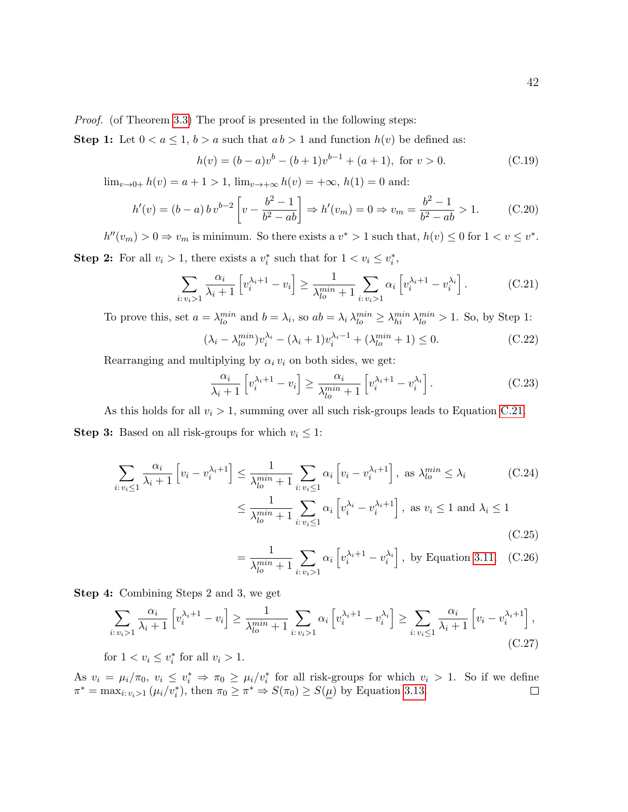Proof. (of Theorem 3.3) The proof is presented in the following steps:

**Step 1:** Let  $0 < a \leq 1$ ,  $b > a$  such that  $ab > 1$  and function  $h(v)$  be defined as:

$$
h(v) = (b - a)v^{b} - (b + 1)v^{b-1} + (a + 1), \text{ for } v > 0.
$$
 (C.19)

 $\lim_{v\to 0+} h(v) = a + 1 > 1$ ,  $\lim_{v\to +\infty} h(v) = +\infty$ ,  $h(1) = 0$  and:

$$
h'(v) = (b - a) b v^{b-2} \left[ v - \frac{b^2 - 1}{b^2 - ab} \right] \Rightarrow h'(v_m) = 0 \Rightarrow v_m = \frac{b^2 - 1}{b^2 - ab} > 1.
$$
 (C.20)

 $h''(v_m) > 0 \Rightarrow v_m$  is minimum. So there exists a  $v^* > 1$  such that,  $h(v) \leq 0$  for  $1 < v \leq v^*$ . **Step 2:** For all  $v_i > 1$ , there exists a  $v_i^*$  such that for  $1 < v_i \leq v_i^*$ ,

$$
\sum_{i:\,v_i>1} \frac{\alpha_i}{\lambda_i+1} \left[ v_i^{\lambda_i+1} - v_i \right] \ge \frac{1}{\lambda_{lo}^{min}+1} \sum_{i:\,v_i>1} \alpha_i \left[ v_i^{\lambda_i+1} - v_i^{\lambda_i} \right]. \tag{C.21}
$$

To prove this, set  $a = \lambda_{lo}^{min}$  and  $b = \lambda_i$ , so  $ab = \lambda_i \lambda_{lo}^{min} \ge \lambda_{hi}^{min} \lambda_{lo}^{min} > 1$ . So, by Step 1:

$$
(\lambda_i - \lambda_{lo}^{min})v_i^{\lambda_i} - (\lambda_i + 1)v_i^{\lambda_i - 1} + (\lambda_{lo}^{min} + 1) \le 0.
$$
 (C.22)

Rearranging and multiplying by  $\alpha_i v_i$  on both sides, we get:

$$
\frac{\alpha_i}{\lambda_i+1} \left[ v_i^{\lambda_i+1} - v_i \right] \ge \frac{\alpha_i}{\lambda_{lo}^{min} + 1} \left[ v_i^{\lambda_i+1} - v_i^{\lambda_i} \right]. \tag{C.23}
$$

As this holds for all  $v_i > 1$ , summing over all such risk-groups leads to Equation C.21. **Step 3:** Based on all risk-groups for which  $v_i \leq 1$ :

$$
\sum_{i:\,v_i\leq 1} \frac{\alpha_i}{\lambda_i+1} \left[v_i - v_i^{\lambda_i+1}\right] \leq \frac{1}{\lambda_{lo}^{\min}+1} \sum_{i:\,v_i\leq 1} \alpha_i \left[v_i - v_i^{\lambda_i+1}\right], \text{ as } \lambda_{lo}^{\min} \leq \lambda_i \tag{C.24}
$$
\n
$$
\leq \frac{1}{\lambda_{lo}^{\min}+1} \sum_{i:\,v_i\leq 1} \alpha_i \left[v_i^{\lambda_i} - v_i^{\lambda_i+1}\right], \text{ as } v_i \leq 1 \text{ and } \lambda_i \leq 1 \tag{C.25}
$$

$$
= \frac{1}{\lambda_{lo}^{min} + 1} \sum_{i: v_i > 1} \alpha_i \left[ v_i^{\lambda_i + 1} - v_i^{\lambda_i} \right],
$$
 by Equation 3.11. (C.26)

Step 4: Combining Steps 2 and 3, we get

$$
\sum_{i:\,v_i>1} \frac{\alpha_i}{\lambda_i+1} \left[ v_i^{\lambda_i+1} - v_i \right] \ge \frac{1}{\lambda_{lo}^{min}+1} \sum_{i:\,v_i>1} \alpha_i \left[ v_i^{\lambda_i+1} - v_i^{\lambda_i} \right] \ge \sum_{i:\,v_i\le 1} \frac{\alpha_i}{\lambda_i+1} \left[ v_i - v_i^{\lambda_i+1} \right],\tag{C.27}
$$

for  $1 < v_i \le v_i^*$  for all  $v_i > 1$ .

As  $v_i = \mu_i/\pi_0$ ,  $v_i \leq v_i^* \Rightarrow \pi_0 \geq \mu_i/v_i^*$  for all risk-groups for which  $v_i > 1$ . So if we define  $\pi^* = \max_{i: v_i > 1} (\mu_i/v_i^*), \text{ then } \pi_0 \geq \pi^* \Rightarrow S(\pi_0) \geq S(\underline{\mu}) \text{ by Equation 3.13.}$  $\Box$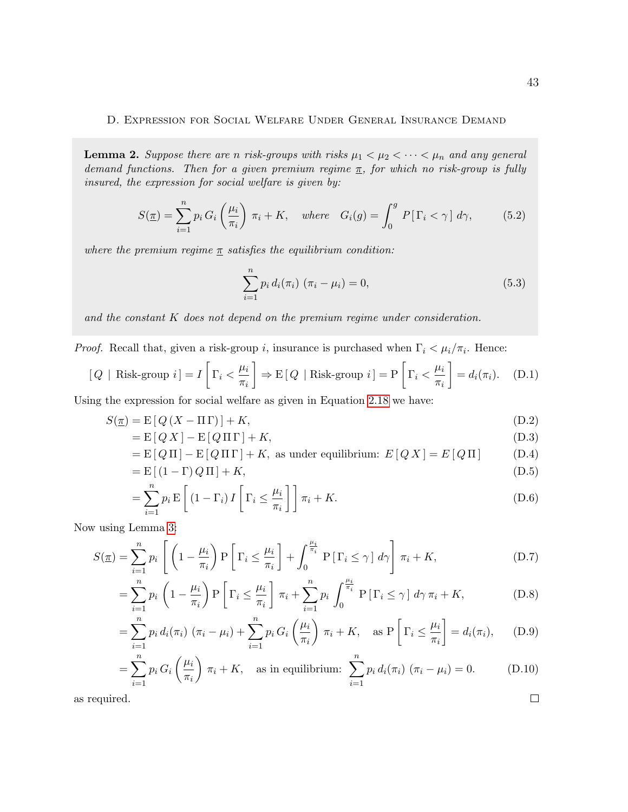#### D. Expression for Social Welfare Under General Insurance Demand

**Lemma 2.** Suppose there are n risk-groups with risks  $\mu_1 < \mu_2 < \cdots < \mu_n$  and any general demand functions. Then for a given premium regime  $\pi$ , for which no risk-group is fully insured, the expression for social welfare is given by:

$$
S(\underline{\pi}) = \sum_{i=1}^{n} p_i G_i \left(\frac{\mu_i}{\pi_i}\right) \pi_i + K, \quad where \quad G_i(g) = \int_0^g P[\Gamma_i < \gamma] \, d\gamma,\tag{5.2}
$$

where the premium regime  $\pi$  satisfies the equilibrium condition:

$$
\sum_{i=1}^{n} p_i d_i(\pi_i) (\pi_i - \mu_i) = 0,
$$
\n(5.3)

and the constant K does not depend on the premium regime under consideration.

*Proof.* Recall that, given a risk-group i, insurance is purchased when  $\Gamma_i < \mu_i / \pi_i$ . Hence:

$$
[Q \mid \text{Risk-group } i] = I \left[ \Gamma_i < \frac{\mu_i}{\pi_i} \right] \Rightarrow E \left[ Q \mid \text{Risk-group } i \right] = P \left[ \Gamma_i < \frac{\mu_i}{\pi_i} \right] = d_i(\pi_i). \tag{D.1}
$$

Using the expression for social welfare as given in Equation 2.18 we have:

$$
S(\underline{\pi}) = \mathcal{E}[Q(X - \Pi \Gamma)] + K,\tag{D.2}
$$

$$
= \mathcal{E}[Q X] - \mathcal{E}[Q \Pi \Gamma] + K,\tag{D.3}
$$

$$
= E[Q\Pi] - E[Q\Pi\Gamma] + K, \text{ as under equilibrium: } E[QX] = E[Q\Pi] \tag{D.4}
$$

$$
= \mathbf{E}[(1-\Gamma)Q\Pi] + K,
$$
\n(D.5)

$$
= \sum_{i=1}^{n} p_i \mathbf{E} \left[ \left( 1 - \Gamma_i \right) I \left[ \Gamma_i \le \frac{\mu_i}{\pi_i} \right] \right] \pi_i + K. \tag{D.6}
$$

Now using Lemma 3:

$$
S(\underline{\pi}) = \sum_{i=1}^{n} p_i \left[ \left( 1 - \frac{\mu_i}{\pi_i} \right) P \left[ \Gamma_i \le \frac{\mu_i}{\pi_i} \right] + \int_0^{\frac{\mu_i}{\pi_i}} P \left[ \Gamma_i \le \gamma \right] d\gamma \right] \pi_i + K,\tag{D.7}
$$

$$
= \sum_{i=1}^{n} p_i \left( 1 - \frac{\mu_i}{\pi_i} \right) P \left[ \Gamma_i \le \frac{\mu_i}{\pi_i} \right] \pi_i + \sum_{i=1}^{n} p_i \int_0^{\frac{\mu_i}{\pi_i}} P \left[ \Gamma_i \le \gamma \right] d\gamma \pi_i + K,
$$
 (D.8)

$$
= \sum_{i=1}^{n} p_i d_i(\pi_i) (\pi_i - \mu_i) + \sum_{i=1}^{n} p_i G_i \left(\frac{\mu_i}{\pi_i}\right) \pi_i + K, \text{ as } P\left[\Gamma_i \le \frac{\mu_i}{\pi_i}\right] = d_i(\pi_i), \quad (D.9)
$$

$$
= \sum_{i=1}^{n} p_i G_i \left(\frac{\mu_i}{\pi_i}\right) \pi_i + K, \quad \text{as in equilibrium: } \sum_{i=1}^{n} p_i d_i(\pi_i) \left(\pi_i - \mu_i\right) = 0. \tag{D.10}
$$

as required.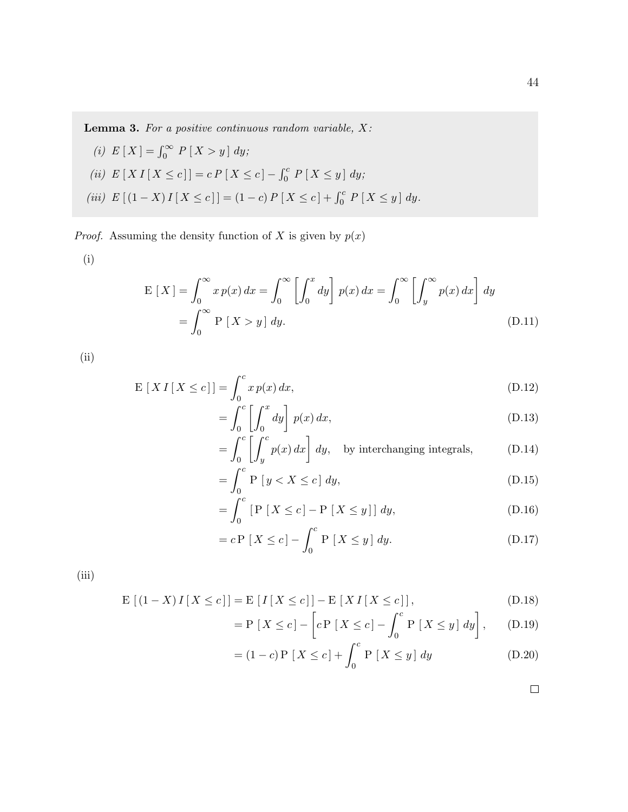**Lemma 3.** For a positive continuous random variable,  $X$ :

(i)  $E[X] = \int_0^\infty P[X > y] dy;$ (ii)  $E[X I[X \le c]] = c P[X \le c] - \int_0^c P[X \le y] dy;$ (iii)  $E[(1-X)I[X \le c]] = (1-c)P[X \le c] + \int_0^c P[X \le y] dy.$ 

*Proof.* Assuming the density function of X is given by  $p(x)$ 

(i)

$$
E[X] = \int_0^\infty x p(x) dx = \int_0^\infty \left[ \int_0^x dy \right] p(x) dx = \int_0^\infty \left[ \int_y^\infty p(x) dx \right] dy
$$
  
= 
$$
\int_0^\infty P[X > y] dy.
$$
 (D.11)

(ii)

$$
\mathcal{E}\left[X\,I\left[X \le c\right]\right] = \int_0^c x\,p(x)\,dx,\tag{D.12}
$$

$$
= \int_0^c \left[ \int_0^x dy \right] p(x) dx, \tag{D.13}
$$

$$
= \int_0^c \left[ \int_y^c p(x) \, dx \right] \, dy, \quad \text{by interchanging integrals}, \tag{D.14}
$$

$$
=\int_{0}^{c} P[y < X \le c] dy,
$$
\n(D.15)

$$
= \int_0^c \left[ P\left[ X \le c \right] - P\left[ X \le y \right] \right] dy, \tag{D.16}
$$

$$
= c \mathcal{P} \left[ X \le c \right] - \int_0^c \mathcal{P} \left[ X \le y \right] dy. \tag{D.17}
$$

(iii)

$$
\mathcal{E}\left[\left(1-X\right)I\left[X\leq c\right]\right]=\mathcal{E}\left[I\left[X\leq c\right]\right]-\mathcal{E}\left[XI\left[X\leq c\right]\right],\tag{D.18}
$$

$$
= P[X \le c] - \left[c P[X \le c] - \int_0^c P[X \le y] dy\right], \quad (D.19)
$$

$$
= (1 - c) P [X \le c] + \int_0^c P [X \le y] dy
$$
 (D.20)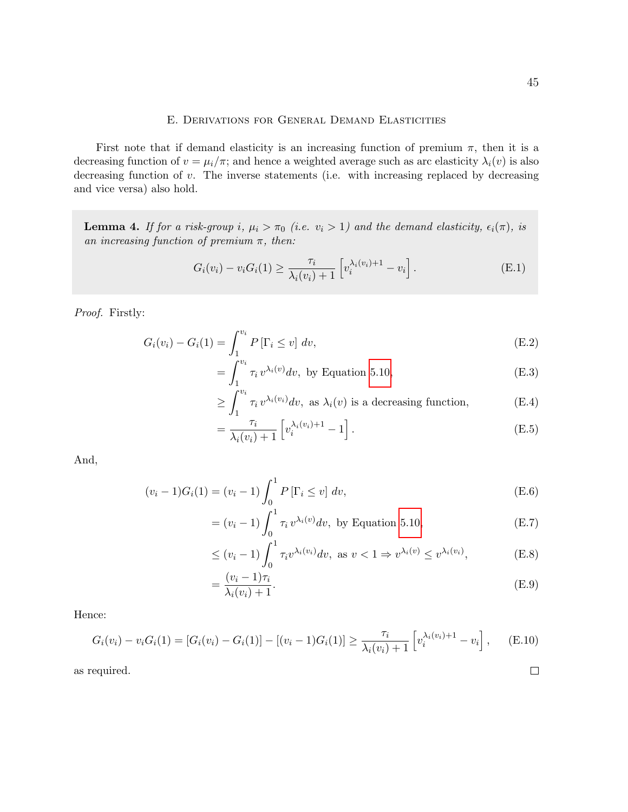#### E. Derivations for General Demand Elasticities

First note that if demand elasticity is an increasing function of premium  $\pi$ , then it is a decreasing function of  $v = \mu_i/\pi$ ; and hence a weighted average such as arc elasticity  $\lambda_i(v)$  is also decreasing function of v. The inverse statements (i.e. with increasing replaced by decreasing and vice versa) also hold.

**Lemma 4.** If for a risk-group i,  $\mu_i > \pi_0$  (i.e.  $v_i > 1$ ) and the demand elasticity,  $\epsilon_i(\pi)$ , is an increasing function of premium  $\pi$ , then:

$$
G_i(v_i) - v_i G_i(1) \ge \frac{\tau_i}{\lambda_i(v_i) + 1} \left[ v_i^{\lambda_i(v_i) + 1} - v_i \right].
$$
 (E.1)

Proof. Firstly:

$$
G_i(v_i) - G_i(1) = \int_1^{v_i} P[\Gamma_i \le v] dv,
$$
 (E.2)

$$
= \int_{1}^{v_i} \tau_i v^{\lambda_i(v)} dv, \text{ by Equation 5.10}, \tag{E.3}
$$

$$
\geq \int_{1}^{v_i} \tau_i v^{\lambda_i(v_i)} dv, \text{ as } \lambda_i(v) \text{ is a decreasing function,}
$$
 (E.4)

$$
= \frac{\tau_i}{\lambda_i(v_i) + 1} \left[ v_i^{\lambda_i(v_i) + 1} - 1 \right]. \tag{E.5}
$$

And,

$$
(v_i - 1)G_i(1) = (v_i - 1)\int_0^1 P[\Gamma_i \le v] dv,
$$
\n(E.6)

$$
= (v_i - 1) \int_0^1 \tau_i v^{\lambda_i(v)} dv, \text{ by Equation 5.10}, \qquad (E.7)
$$

$$
\leq (v_i - 1) \int_0^1 \tau_i v^{\lambda_i(v_i)} dv, \text{ as } v < 1 \Rightarrow v^{\lambda_i(v)} \leq v^{\lambda_i(v_i)},
$$
 (E.8)

$$
=\frac{(v_i-1)\tau_i}{\lambda_i(v_i)+1}.\tag{E.9}
$$

Hence:

$$
G_i(v_i) - v_i G_i(1) = [G_i(v_i) - G_i(1)] - [(v_i - 1)G_i(1)] \ge \frac{\tau_i}{\lambda_i(v_i) + 1} \left[ v_i^{\lambda_i(v_i) + 1} - v_i \right], \quad (E.10)
$$

as required.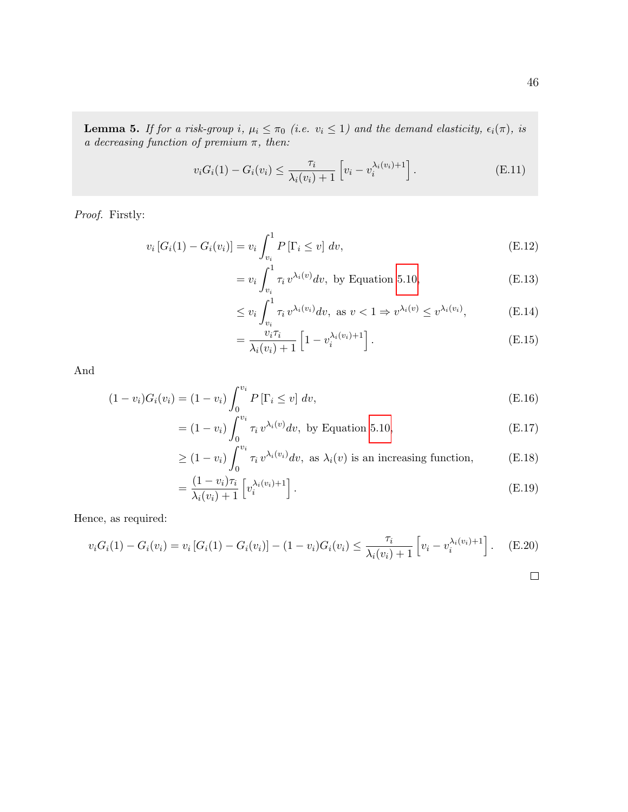**Lemma 5.** If for a risk-group i,  $\mu_i \leq \pi_0$  (i.e.  $v_i \leq 1$ ) and the demand elasticity,  $\epsilon_i(\pi)$ , is a decreasing function of premium  $\pi$ , then:

$$
v_i G_i(1) - G_i(v_i) \le \frac{\tau_i}{\lambda_i(v_i) + 1} \left[ v_i - v_i^{\lambda_i(v_i) + 1} \right].
$$
 (E.11)

Proof. Firstly:

$$
v_i [G_i(1) - G_i(v_i)] = v_i \int_{v_i}^1 P[\Gamma_i \le v] dv,
$$
\n(E.12)

$$
= v_i \int_{v_i}^1 \tau_i v^{\lambda_i(v)} dv, \text{ by Equation 5.10,}
$$
 (E.13)

$$
\leq v_i \int_{v_i}^1 \tau_i v^{\lambda_i(v_i)} dv, \text{ as } v < 1 \Rightarrow v^{\lambda_i(v)} \leq v^{\lambda_i(v_i)}, \tag{E.14}
$$

$$
= \frac{v_i \tau_i}{\lambda_i(v_i) + 1} \left[ 1 - v_i^{\lambda_i(v_i) + 1} \right]. \tag{E.15}
$$

And

$$
(1 - v_i)G_i(v_i) = (1 - v_i) \int_0^{v_i} P[\Gamma_i \le v] dv,
$$
\n(E.16)

$$
= (1 - v_i) \int_0^{v_i} \tau_i v^{\lambda_i(v)} dv, \text{ by Equation 5.10,}
$$
 (E.17)

$$
\geq (1 - v_i) \int_0^{v_i} \tau_i v^{\lambda_i(v_i)} dv, \text{ as } \lambda_i(v) \text{ is an increasing function,} \tag{E.18}
$$

$$
= \frac{(1 - v_i)\tau_i}{\lambda_i(v_i) + 1} \left[ v_i^{\lambda_i(v_i) + 1} \right].
$$
\n(E.19)

Hence, as required:

$$
v_i G_i(1) - G_i(v_i) = v_i [G_i(1) - G_i(v_i)] - (1 - v_i) G_i(v_i) \le \frac{\tau_i}{\lambda_i(v_i) + 1} \left[ v_i - v_i^{\lambda_i(v_i) + 1} \right].
$$
 (E.20)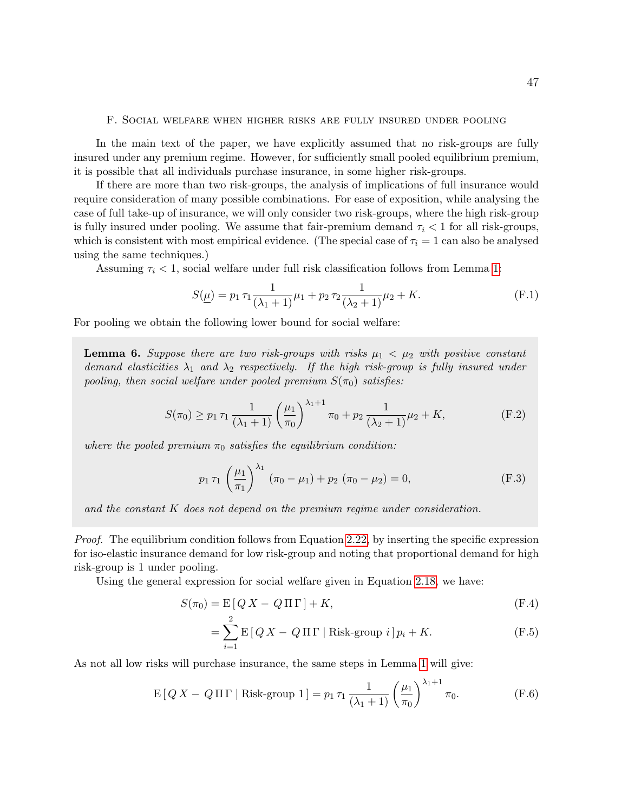#### F. Social welfare when higher risks are fully insured under pooling

In the main text of the paper, we have explicitly assumed that no risk-groups are fully insured under any premium regime. However, for sufficiently small pooled equilibrium premium, it is possible that all individuals purchase insurance, in some higher risk-groups.

If there are more than two risk-groups, the analysis of implications of full insurance would require consideration of many possible combinations. For ease of exposition, while analysing the case of full take-up of insurance, we will only consider two risk-groups, where the high risk-group is fully insured under pooling. We assume that fair-premium demand  $\tau_i < 1$  for all risk-groups, which is consistent with most empirical evidence. (The special case of  $\tau_i = 1$  can also be analysed using the same techniques.)

Assuming  $\tau_i$  < 1, social welfare under full risk classification follows from Lemma 1:

$$
S(\underline{\mu}) = p_1 \tau_1 \frac{1}{(\lambda_1 + 1)} \mu_1 + p_2 \tau_2 \frac{1}{(\lambda_2 + 1)} \mu_2 + K.
$$
 (F.1)

For pooling we obtain the following lower bound for social welfare:

**Lemma 6.** Suppose there are two risk-groups with risks  $\mu_1 < \mu_2$  with positive constant demand elasticities  $\lambda_1$  and  $\lambda_2$  respectively. If the high risk-group is fully insured under pooling, then social welfare under pooled premium  $S(\pi_0)$  satisfies:

$$
S(\pi_0) \ge p_1 \tau_1 \frac{1}{(\lambda_1 + 1)} \left(\frac{\mu_1}{\pi_0}\right)^{\lambda_1 + 1} \pi_0 + p_2 \frac{1}{(\lambda_2 + 1)} \mu_2 + K,
$$
 (F.2)

where the pooled premium  $\pi_0$  satisfies the equilibrium condition:

$$
p_1 \tau_1 \left(\frac{\mu_1}{\pi_1}\right)^{\lambda_1} \left(\pi_0 - \mu_1\right) + p_2 \left(\pi_0 - \mu_2\right) = 0, \tag{F.3}
$$

and the constant K does not depend on the premium regime under consideration.

Proof. The equilibrium condition follows from Equation 2.22, by inserting the specific expression for iso-elastic insurance demand for low risk-group and noting that proportional demand for high risk-group is 1 under pooling.

Using the general expression for social welfare given in Equation 2.18, we have:

$$
S(\pi_0) = \mathcal{E}\left[Q X - Q \Pi \Gamma\right] + K,\tag{F.4}
$$

$$
= \sum_{i=1}^{2} \mathcal{E} \left[ Q X - Q \Pi \Gamma \mid \text{Risk-group } i \right] p_i + K. \tag{F.5}
$$

As not all low risks will purchase insurance, the same steps in Lemma 1 will give:

$$
E[Q X - Q \Pi \Gamma | Risk-group 1] = p_1 \tau_1 \frac{1}{(\lambda_1 + 1)} \left(\frac{\mu_1}{\pi_0}\right)^{\lambda_1 + 1} \pi_0.
$$
 (F.6)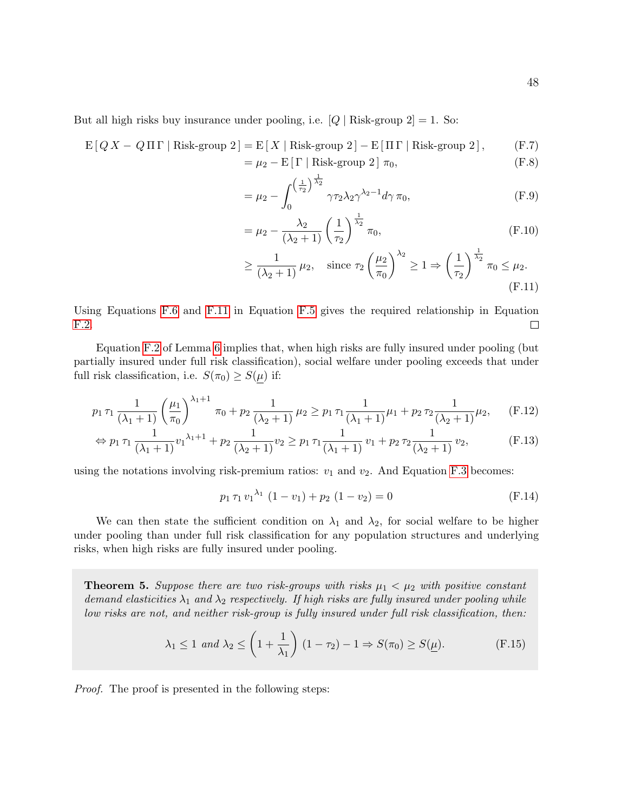But all high risks buy insurance under pooling, i.e.  $[Q |$  Risk-group 2 $] = 1$ . So:

$$
E[Q X - Q \Pi \Gamma | Risk-group 2] = E[X | Risk-group 2] - E[\Pi \Gamma | Risk-group 2],
$$
 (F.7)

$$
= \mu_2 - E[\Gamma \mid Risk-group 2] \pi_0, \tag{F.8}
$$

$$
= \mu_2 - \int_0^{\left(\frac{1}{\tau_2}\right)^{\frac{1}{\lambda_2}}} \gamma \tau_2 \lambda_2 \gamma^{\lambda_2 - 1} d\gamma \pi_0,
$$
 (F.9)

$$
= \mu_2 - \frac{\lambda_2}{(\lambda_2 + 1)} \left(\frac{1}{\tau_2}\right)^{\frac{1}{\lambda_2}} \pi_0,
$$
\n(F.10)

$$
\geq \frac{1}{(\lambda_2 + 1)} \mu_2, \quad \text{since } \tau_2 \left(\frac{\mu_2}{\pi_0}\right)^{\lambda_2} \geq 1 \Rightarrow \left(\frac{1}{\tau_2}\right)^{\frac{1}{\lambda_2}} \pi_0 \leq \mu_2.
$$
\n(F.11)

Using Equations F.6 and F.11 in Equation F.5 gives the required relationship in Equation F.2.  $\Box$ 

Equation F.2 of Lemma 6 implies that, when high risks are fully insured under pooling (but partially insured under full risk classification), social welfare under pooling exceeds that under full risk classification, i.e.  $S(\pi_0) \geq S(\mu)$  if:

$$
p_1 \tau_1 \frac{1}{(\lambda_1 + 1)} \left(\frac{\mu_1}{\pi_0}\right)^{\lambda_1 + 1} \pi_0 + p_2 \frac{1}{(\lambda_2 + 1)} \mu_2 \ge p_1 \tau_1 \frac{1}{(\lambda_1 + 1)} \mu_1 + p_2 \tau_2 \frac{1}{(\lambda_2 + 1)} \mu_2, \quad (F.12)
$$

$$
\Leftrightarrow p_1 \tau_1 \frac{1}{(\lambda_1 + 1)} v_1^{\lambda_1 + 1} + p_2 \frac{1}{(\lambda_2 + 1)} v_2 \ge p_1 \tau_1 \frac{1}{(\lambda_1 + 1)} v_1 + p_2 \tau_2 \frac{1}{(\lambda_2 + 1)} v_2,
$$
 (F.13)

using the notations involving risk-premium ratios:  $v_1$  and  $v_2$ . And Equation F.3 becomes:

$$
p_1 \tau_1 v_1^{\lambda_1} (1 - v_1) + p_2 (1 - v_2) = 0
$$
 (F.14)

We can then state the sufficient condition on  $\lambda_1$  and  $\lambda_2$ , for social welfare to be higher under pooling than under full risk classification for any population structures and underlying risks, when high risks are fully insured under pooling.

**Theorem 5.** Suppose there are two risk-groups with risks  $\mu_1 < \mu_2$  with positive constant demand elasticities  $\lambda_1$  and  $\lambda_2$  respectively. If high risks are fully insured under pooling while low risks are not, and neither risk-group is fully insured under full risk classification, then:

$$
\lambda_1 \le 1 \text{ and } \lambda_2 \le \left(1 + \frac{1}{\lambda_1}\right) (1 - \tau_2) - 1 \Rightarrow S(\pi_0) \ge S(\underline{\mu}). \tag{F.15}
$$

Proof. The proof is presented in the following steps: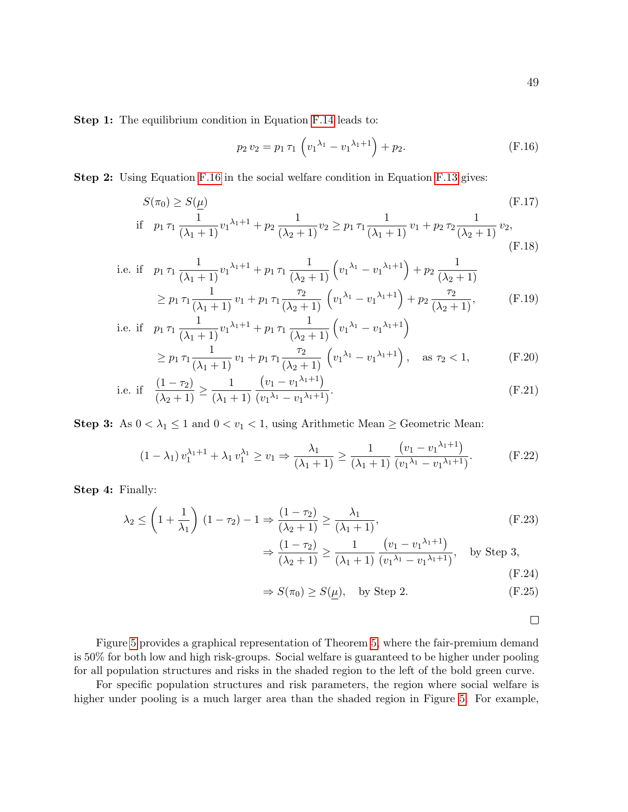Step 1: The equilibrium condition in Equation F.14 leads to:

$$
p_2 v_2 = p_1 \tau_1 \left( v_1^{\lambda_1} - v_1^{\lambda_1 + 1} \right) + p_2. \tag{F.16}
$$

Step 2: Using Equation F.16 in the social welfare condition in Equation F.13 gives:

$$
S(\pi_0) \ge S(\underline{\mu})
$$
\n
$$
\text{if } p_1 \tau_1 \frac{1}{(\lambda_1 + 1)} v_1^{\lambda_1 + 1} + p_2 \frac{1}{(\lambda_2 + 1)} v_2 \ge p_1 \tau_1 \frac{1}{(\lambda_1 + 1)} v_1 + p_2 \tau_2 \frac{1}{(\lambda_2 + 1)} v_2,
$$
\n(F.18)

i.e. if 
$$
p_1 \tau_1 \frac{1}{(\lambda_1 + 1)} v_1^{\lambda_1 + 1} + p_1 \tau_1 \frac{1}{(\lambda_2 + 1)} \left( v_1^{\lambda_1} - v_1^{\lambda_1 + 1} \right) + p_2 \frac{1}{(\lambda_2 + 1)}
$$
  
\n
$$
\geq p_1 \tau_1 \frac{1}{(\lambda_1 + 1)} v_1 + p_1 \tau_1 \frac{\tau_2}{(\lambda_2 + 1)} \left( v_1^{\lambda_1} - v_1^{\lambda_1 + 1} \right) + p_2 \frac{\tau_2}{(\lambda_2 + 1)},
$$
\n
$$
\text{i.e. if } p_1 \tau_1 \frac{1}{(\lambda_2 + 1)} v_1^{\lambda_1 + 1} + p_1 \tau_1 \frac{1}{(\lambda_2 + 1)} \left( v_1^{\lambda_1} - v_1^{\lambda_1 + 1} \right)
$$
\n
$$
(F.19)
$$

$$
\begin{aligned}\n\text{if } p_1 \tau_1 \frac{1}{(\lambda_1 + 1)} v_1^{\lambda_1 + 1} + p_1 \tau_1 \frac{1}{(\lambda_2 + 1)} \left( v_1^{\lambda_1} - v_1^{\lambda_1 + 1} \right) \\
&\geq p_1 \tau_1 \frac{1}{(\lambda_1 + 1)} v_1 + p_1 \tau_1 \frac{\tau_2}{(\lambda_2 + 1)} \left( v_1^{\lambda_1} - v_1^{\lambda_1 + 1} \right), \quad \text{as } \tau_2 < 1,\n\end{aligned} \tag{F.20}
$$

i.e. if 
$$
\frac{(1-\tau_2)}{(\lambda_2+1)} \ge \frac{1}{(\lambda_1+1)} \frac{(v_1-v_1^{\lambda_1+1})}{(v_1^{\lambda_1}-v_1^{\lambda_1+1})}.
$$
 (F.21)

Step 3: As  $0 < \lambda_1 \leq 1$  and  $0 < v_1 < 1$ , using Arithmetic Mean  $\geq$  Geometric Mean:

$$
(1 - \lambda_1) v_1^{\lambda_1 + 1} + \lambda_1 v_1^{\lambda_1} \ge v_1 \Rightarrow \frac{\lambda_1}{(\lambda_1 + 1)} \ge \frac{1}{(\lambda_1 + 1)} \frac{(v_1 - v_1^{\lambda_1 + 1})}{(v_1^{\lambda_1} - v_1^{\lambda_1 + 1})}.
$$
 (F.22)

Step 4: Finally:

$$
\lambda_2 \le \left(1 + \frac{1}{\lambda_1}\right) (1 - \tau_2) - 1 \Rightarrow \frac{(1 - \tau_2)}{(\lambda_2 + 1)} \ge \frac{\lambda_1}{(\lambda_1 + 1)},
$$
\n
$$
\Rightarrow \frac{(1 - \tau_2)}{(\lambda_2 + 1)} \ge \frac{1}{(\lambda_1 + 1)} \frac{(v_1 - v_1^{\lambda_1 + 1})}{(v_1^{\lambda_1} - v_1^{\lambda_1 + 1})}, \quad \text{by Step 3,}
$$
\n(F.24)

$$
\Rightarrow S(\pi_0) \ge S(\underline{\mu}), \quad \text{by Step 2.} \tag{F.25}
$$

 $\Box$ 

Figure 5 provides a graphical representation of Theorem 5, where the fair-premium demand is 50% for both low and high risk-groups. Social welfare is guaranteed to be higher under pooling for all population structures and risks in the shaded region to the left of the bold green curve.

For specific population structures and risk parameters, the region where social welfare is higher under pooling is a much larger area than the shaded region in Figure 5. For example,